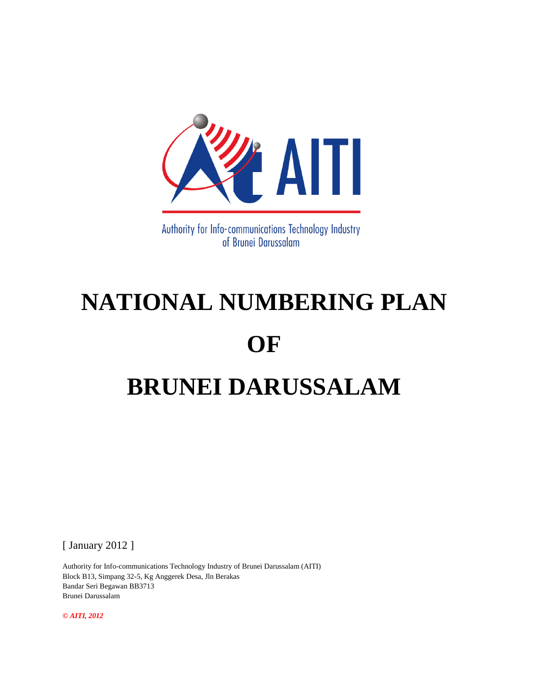

Authority for Info-communications Technology Industry of Brunei Darussalam

# **NATIONAL NUMBERING PLAN OF BRUNEI DARUSSALAM**

[ January 2012 ]

Authority for Info-communications Technology Industry of Brunei Darussalam (AITI) Block B13, Simpang 32-5, Kg Anggerek Desa, Jln Berakas Bandar Seri Begawan BB3713 Brunei Darussalam

*© AITI, 2012*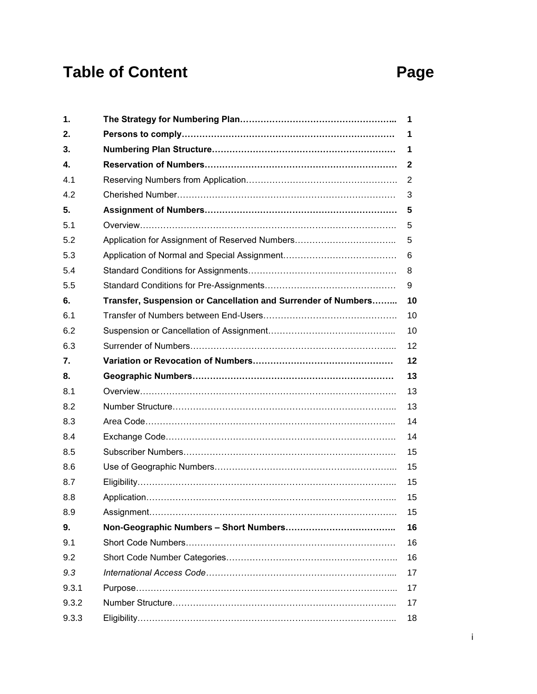## Table of Content **Page**

| 1.    |                                                               | 1  |
|-------|---------------------------------------------------------------|----|
| 2.    |                                                               | 1  |
| 3.    |                                                               | 1  |
| 4.    |                                                               | 2  |
| 4.1   |                                                               | 2  |
| 4.2   |                                                               | 3  |
| 5.    |                                                               | 5  |
| 5.1   |                                                               | 5  |
| 5.2   | Application for Assignment of Reserved Numbers                | 5  |
| 5.3   |                                                               | 6  |
| 5.4   |                                                               | 8  |
| 5.5   |                                                               | 9  |
| 6.    | Transfer, Suspension or Cancellation and Surrender of Numbers | 10 |
| 6.1   |                                                               | 10 |
| 6.2   |                                                               | 10 |
| 6.3   |                                                               | 12 |
| 7.    |                                                               | 12 |
| 8.    |                                                               | 13 |
| 8.1   |                                                               | 13 |
| 8.2   |                                                               | 13 |
| 8.3   |                                                               | 14 |
| 8.4   |                                                               | 14 |
| 8.5   |                                                               | 15 |
| 8.6   |                                                               | 15 |
| 8.7   |                                                               | 15 |
| 8.8   |                                                               | 15 |
|       |                                                               |    |
| 8.9   |                                                               | 15 |
| 9.    |                                                               | 16 |
| 9.1   |                                                               | 16 |
| 9.2   |                                                               | 16 |
| 9.3   |                                                               | 17 |
| 9.3.1 |                                                               | 17 |
| 9.3.2 |                                                               | 17 |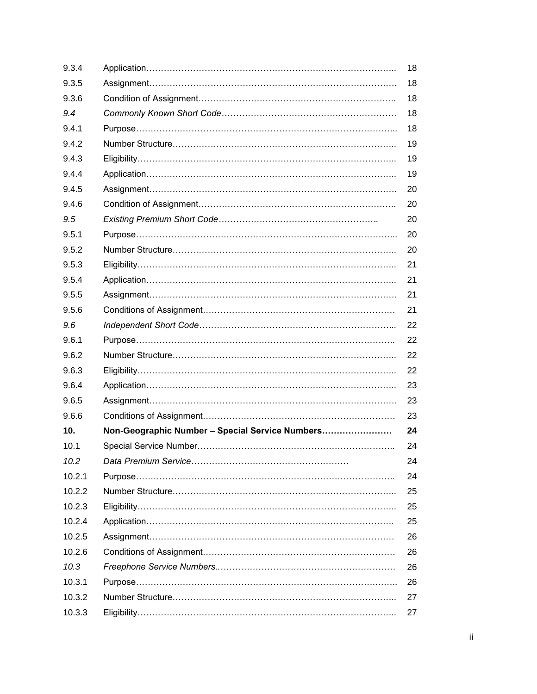| 9.3.4  |                                                 | 18 |
|--------|-------------------------------------------------|----|
| 9.3.5  |                                                 | 18 |
| 9.3.6  |                                                 | 18 |
| 9.4    |                                                 | 18 |
| 9.4.1  |                                                 | 18 |
| 9.4.2  |                                                 | 19 |
| 9.4.3  |                                                 | 19 |
| 9.4.4  |                                                 | 19 |
| 9.4.5  |                                                 | 20 |
| 9.4.6  |                                                 | 20 |
| 9.5    |                                                 | 20 |
| 9.5.1  |                                                 | 20 |
| 9.5.2  |                                                 | 20 |
| 9.5.3  |                                                 | 21 |
| 9.5.4  |                                                 | 21 |
| 9.5.5  |                                                 | 21 |
| 9.5.6  |                                                 | 21 |
| 9.6    |                                                 | 22 |
| 9.6.1  |                                                 | 22 |
| 9.6.2  |                                                 | 22 |
| 9.6.3  |                                                 | 22 |
| 9.6.4  |                                                 | 23 |
| 9.6.5  |                                                 | 23 |
| 9.6.6  |                                                 | 23 |
| 10.    | Non-Geographic Number - Special Service Numbers | 24 |
| 10.1   |                                                 | 24 |
| 10.2   |                                                 | 24 |
| 10.2.1 |                                                 | 24 |
| 10.2.2 |                                                 | 25 |
| 10.2.3 |                                                 | 25 |
| 10.2.4 |                                                 | 25 |
| 10.2.5 |                                                 | 26 |
| 10.2.6 |                                                 | 26 |
| 10.3   |                                                 | 26 |
| 10.3.1 |                                                 | 26 |
| 10.3.2 |                                                 | 27 |
| 10.3.3 |                                                 | 27 |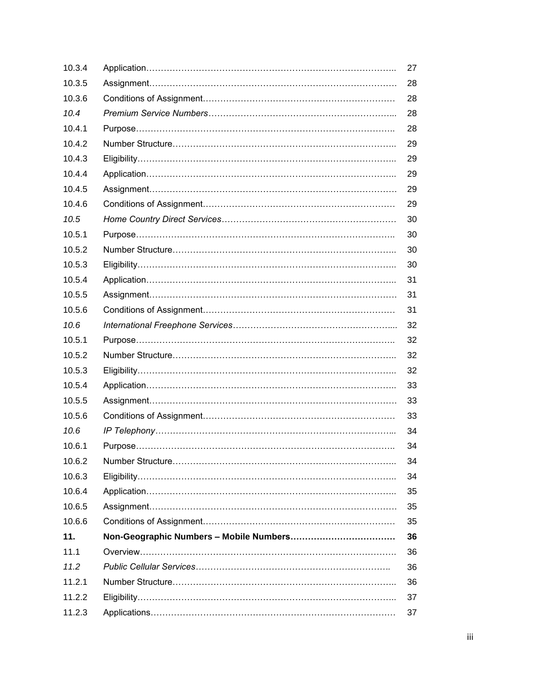| 10.3.4 | 27 |
|--------|----|
| 10.3.5 | 28 |
| 10.3.6 | 28 |
| 10.4   | 28 |
| 10.4.1 | 28 |
| 10.4.2 | 29 |
| 10.4.3 | 29 |
| 10.4.4 | 29 |
| 10.4.5 | 29 |
| 10.4.6 | 29 |
| 10.5   | 30 |
| 10.5.1 | 30 |
| 10.5.2 | 30 |
| 10.5.3 | 30 |
| 10.5.4 | 31 |
| 10.5.5 | 31 |
| 10.5.6 | 31 |
| 10.6   | 32 |
| 10.5.1 | 32 |
| 10.5.2 | 32 |
| 10.5.3 | 32 |
| 10.5.4 | 33 |
| 10.5.5 | 33 |
| 10.5.6 | 33 |
| 10.6   | 34 |
| 10.6.1 | 34 |
| 10.6.2 | 34 |
| 10.6.3 | 34 |
| 10.6.4 | 35 |
| 10.6.5 | 35 |
| 10.6.6 | 35 |
| 11.    | 36 |
| 11.1   | 36 |
| 11.2   | 36 |
| 11.2.1 | 36 |
| 11.2.2 | 37 |
| 11.2.3 | 37 |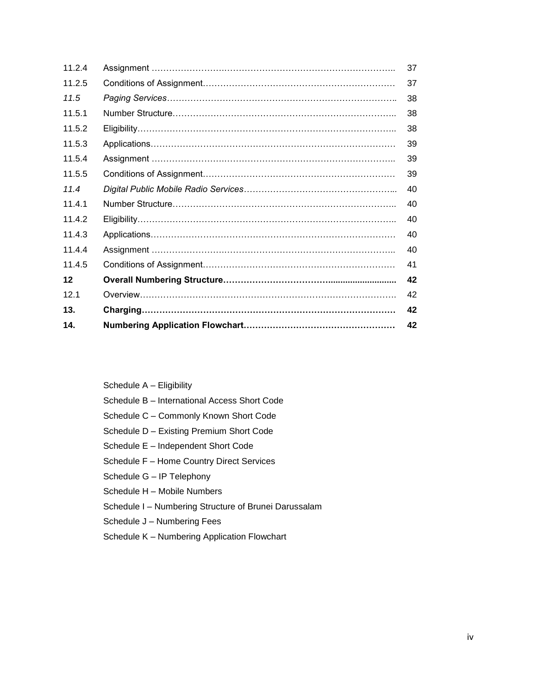| 14.    | 42 |
|--------|----|
| 13.    | 42 |
| 121    | 42 |
| 12     | 42 |
| 11.4.5 | 41 |
| 11.4.4 | 40 |
| 11.4.3 | 40 |
| 11.4.2 | 40 |
| 11.4.1 | 40 |
| 11.4   | 40 |
| 11.5.5 | 39 |
| 11.5.4 | 39 |
| 11.5.3 | 39 |
| 11.5.2 | 38 |
| 11.5.1 | 38 |
| 11.5   | 38 |
| 11.2.5 | 37 |
| 11.2.4 | 37 |

Schedule A – Eligibility Schedule B – International Access Short Code Schedule C – Commonly Known Short Code Schedule D – Existing Premium Short Code Schedule E – Independent Short Code Schedule F – Home Country Direct Services Schedule G – IP Telephony Schedule H – Mobile Numbers Schedule I – Numbering Structure of Brunei Darussalam

Schedule J – Numbering Fees

Schedule K – Numbering Application Flowchart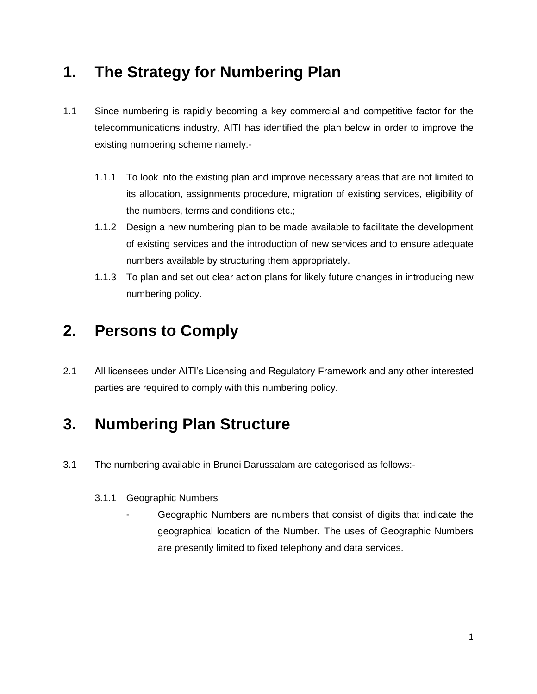### **1. The Strategy for Numbering Plan**

- 1.1 Since numbering is rapidly becoming a key commercial and competitive factor for the telecommunications industry, AITI has identified the plan below in order to improve the existing numbering scheme namely:-
	- 1.1.1 To look into the existing plan and improve necessary areas that are not limited to its allocation, assignments procedure, migration of existing services, eligibility of the numbers, terms and conditions etc.;
	- 1.1.2 Design a new numbering plan to be made available to facilitate the development of existing services and the introduction of new services and to ensure adequate numbers available by structuring them appropriately.
	- 1.1.3 To plan and set out clear action plans for likely future changes in introducing new numbering policy.

### **2. Persons to Comply**

2.1 All licensees under AITI's Licensing and Regulatory Framework and any other interested parties are required to comply with this numbering policy.

### **3. Numbering Plan Structure**

- 3.1 The numbering available in Brunei Darussalam are categorised as follows:-
	- 3.1.1 Geographic Numbers
		- Geographic Numbers are numbers that consist of digits that indicate the geographical location of the Number. The uses of Geographic Numbers are presently limited to fixed telephony and data services.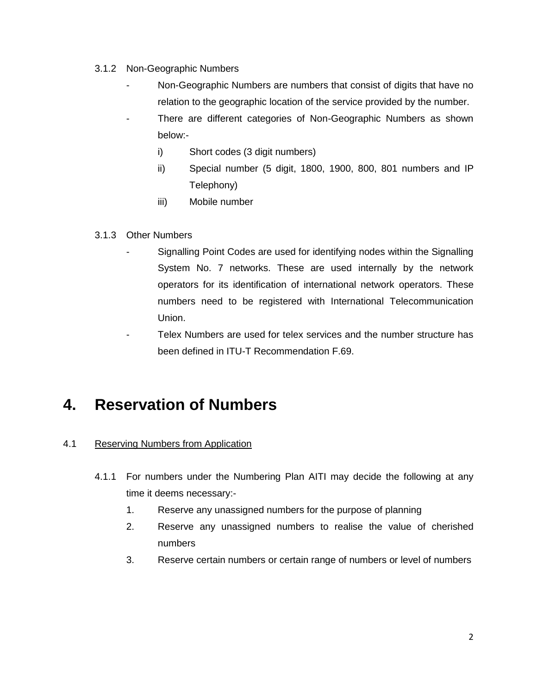- 3.1.2 Non-Geographic Numbers
	- Non-Geographic Numbers are numbers that consist of digits that have no relation to the geographic location of the service provided by the number.
	- There are different categories of Non-Geographic Numbers as shown below:
		- i) Short codes (3 digit numbers)
		- ii) Special number (5 digit, 1800, 1900, 800, 801 numbers and IP Telephony)
		- iii) Mobile number

#### 3.1.3 Other Numbers

- Signalling Point Codes are used for identifying nodes within the Signalling System No. 7 networks. These are used internally by the network operators for its identification of international network operators. These numbers need to be registered with International Telecommunication Union.
- Telex Numbers are used for telex services and the number structure has been defined in ITU-T Recommendation F.69.

### **4. Reservation of Numbers**

#### 4.1 Reserving Numbers from Application

- 4.1.1 For numbers under the Numbering Plan AITI may decide the following at any time it deems necessary:-
	- 1. Reserve any unassigned numbers for the purpose of planning
	- 2. Reserve any unassigned numbers to realise the value of cherished numbers
	- 3. Reserve certain numbers or certain range of numbers or level of numbers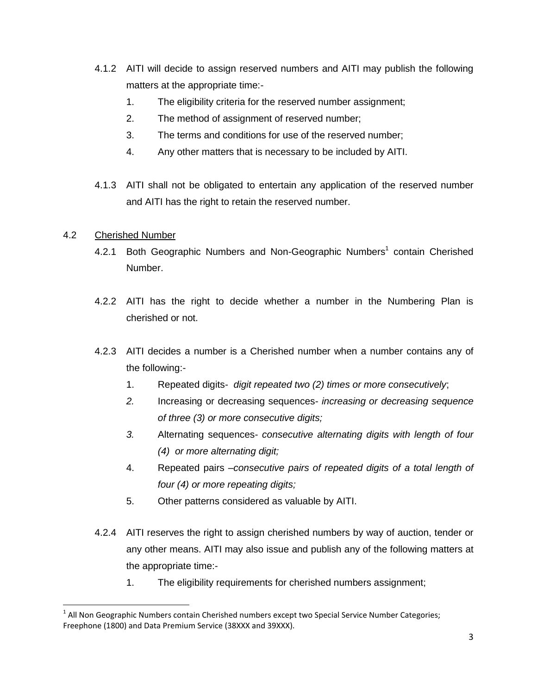- 4.1.2 AITI will decide to assign reserved numbers and AITI may publish the following matters at the appropriate time:-
	- 1. The eligibility criteria for the reserved number assignment;
	- 2. The method of assignment of reserved number;
	- 3. The terms and conditions for use of the reserved number;
	- 4. Any other matters that is necessary to be included by AITI.
- 4.1.3 AITI shall not be obligated to entertain any application of the reserved number and AITI has the right to retain the reserved number.

#### 4.2 Cherished Number

- 4.2.1 Both Geographic Numbers and Non-Geographic Numbers<sup>1</sup> contain Cherished Number.
- 4.2.2 AITI has the right to decide whether a number in the Numbering Plan is cherished or not.
- 4.2.3 AITI decides a number is a Cherished number when a number contains any of the following:-
	- 1. Repeated digits- *digit repeated two (2) times or more consecutively*;
	- *2.* Increasing or decreasing sequences- *increasing or decreasing sequence of three (3) or more consecutive digits;*
	- *3.* Alternating sequences- *consecutive alternating digits with length of four (4) or more alternating digit;*
	- 4. Repeated pairs –*consecutive pairs of repeated digits of a total length of four (4) or more repeating digits;*
	- 5. Other patterns considered as valuable by AITI.
- 4.2.4 AITI reserves the right to assign cherished numbers by way of auction, tender or any other means. AITI may also issue and publish any of the following matters at the appropriate time:-
	- 1. The eligibility requirements for cherished numbers assignment;

l  $^1$  All Non Geographic Numbers contain Cherished numbers except two Special Service Number Categories; Freephone (1800) and Data Premium Service (38XXX and 39XXX).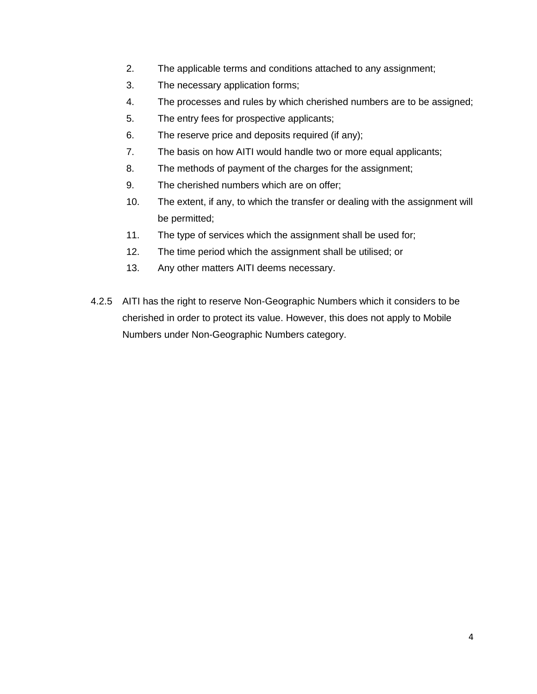- 2. The applicable terms and conditions attached to any assignment;
- 3. The necessary application forms;
- 4. The processes and rules by which cherished numbers are to be assigned;
- 5. The entry fees for prospective applicants;
- 6. The reserve price and deposits required (if any);
- 7. The basis on how AITI would handle two or more equal applicants;
- 8. The methods of payment of the charges for the assignment;
- 9. The cherished numbers which are on offer;
- 10. The extent, if any, to which the transfer or dealing with the assignment will be permitted;
- 11. The type of services which the assignment shall be used for;
- 12. The time period which the assignment shall be utilised; or
- 13. Any other matters AITI deems necessary.
- 4.2.5 AITI has the right to reserve Non-Geographic Numbers which it considers to be cherished in order to protect its value. However, this does not apply to Mobile Numbers under Non-Geographic Numbers category.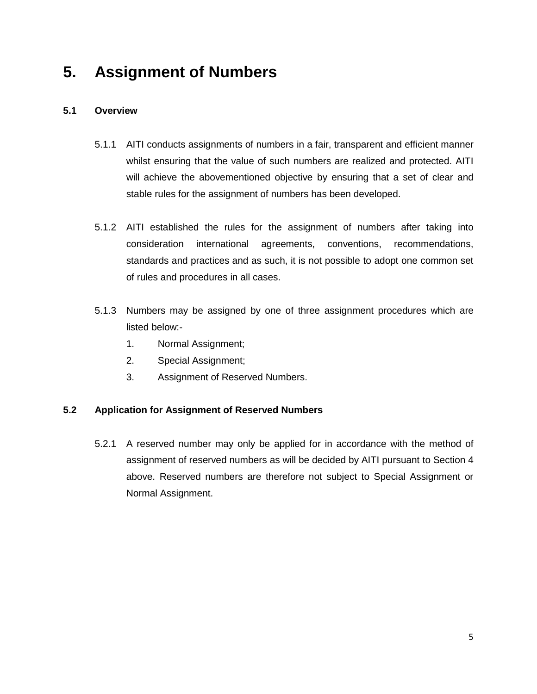### **5. Assignment of Numbers**

#### **5.1 Overview**

- 5.1.1 AITI conducts assignments of numbers in a fair, transparent and efficient manner whilst ensuring that the value of such numbers are realized and protected. AITI will achieve the abovementioned objective by ensuring that a set of clear and stable rules for the assignment of numbers has been developed.
- 5.1.2 AITI established the rules for the assignment of numbers after taking into consideration international agreements, conventions, recommendations, standards and practices and as such, it is not possible to adopt one common set of rules and procedures in all cases.
- 5.1.3 Numbers may be assigned by one of three assignment procedures which are listed below:-
	- 1. Normal Assignment;
	- 2. Special Assignment;
	- 3. Assignment of Reserved Numbers.

#### **5.2 Application for Assignment of Reserved Numbers**

5.2.1 A reserved number may only be applied for in accordance with the method of assignment of reserved numbers as will be decided by AITI pursuant to Section 4 above. Reserved numbers are therefore not subject to Special Assignment or Normal Assignment.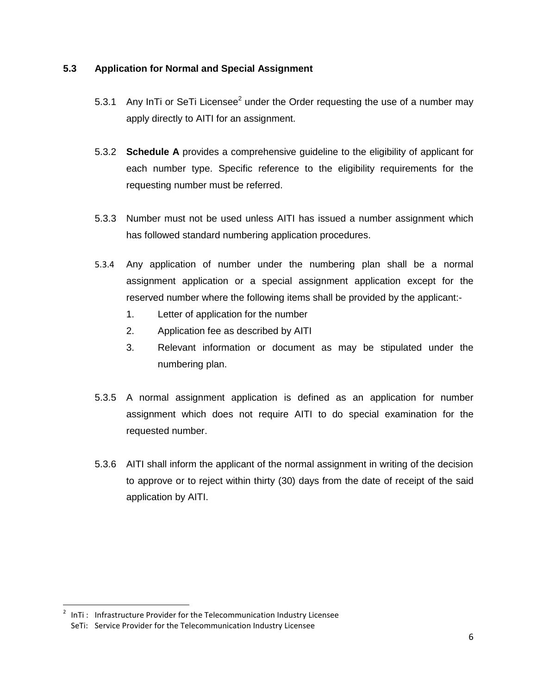#### **5.3 Application for Normal and Special Assignment**

- 5.3.1 Any InTi or SeTi Licensee<sup>2</sup> under the Order requesting the use of a number may apply directly to AITI for an assignment.
- 5.3.2 **Schedule A** provides a comprehensive guideline to the eligibility of applicant for each number type. Specific reference to the eligibility requirements for the requesting number must be referred.
- 5.3.3 Number must not be used unless AITI has issued a number assignment which has followed standard numbering application procedures.
- 5.3.4 Any application of number under the numbering plan shall be a normal assignment application or a special assignment application except for the reserved number where the following items shall be provided by the applicant:-
	- 1. Letter of application for the number
	- 2. Application fee as described by AITI
	- 3. Relevant information or document as may be stipulated under the numbering plan.
- 5.3.5 A normal assignment application is defined as an application for number assignment which does not require AITI to do special examination for the requested number.
- 5.3.6 AITI shall inform the applicant of the normal assignment in writing of the decision to approve or to reject within thirty (30) days from the date of receipt of the said application by AITI.

l  $2$  InTi: Infrastructure Provider for the Telecommunication Industry Licensee SeTi: Service Provider for the Telecommunication Industry Licensee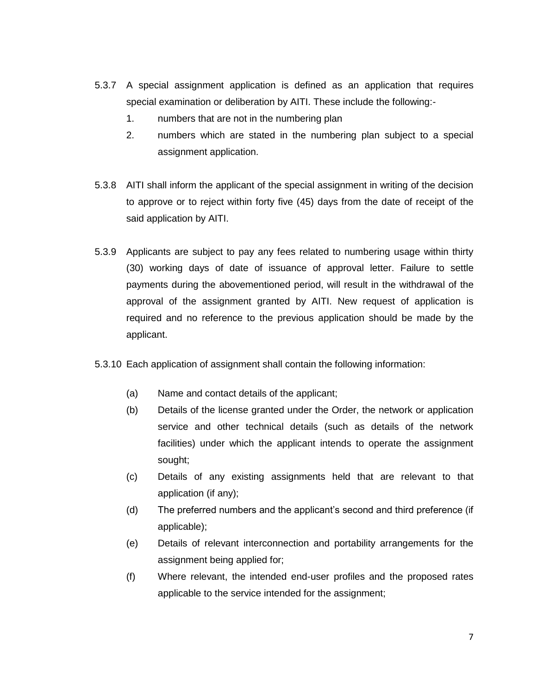- 5.3.7 A special assignment application is defined as an application that requires special examination or deliberation by AITI. These include the following:-
	- 1. numbers that are not in the numbering plan
	- 2. numbers which are stated in the numbering plan subject to a special assignment application.
- 5.3.8 AITI shall inform the applicant of the special assignment in writing of the decision to approve or to reject within forty five (45) days from the date of receipt of the said application by AITI.
- 5.3.9 Applicants are subject to pay any fees related to numbering usage within thirty (30) working days of date of issuance of approval letter. Failure to settle payments during the abovementioned period, will result in the withdrawal of the approval of the assignment granted by AITI. New request of application is required and no reference to the previous application should be made by the applicant.
- 5.3.10 Each application of assignment shall contain the following information:
	- (a) Name and contact details of the applicant;
	- (b) Details of the license granted under the Order, the network or application service and other technical details (such as details of the network facilities) under which the applicant intends to operate the assignment sought;
	- (c) Details of any existing assignments held that are relevant to that application (if any);
	- (d) The preferred numbers and the applicant's second and third preference (if applicable);
	- (e) Details of relevant interconnection and portability arrangements for the assignment being applied for;
	- (f) Where relevant, the intended end-user profiles and the proposed rates applicable to the service intended for the assignment;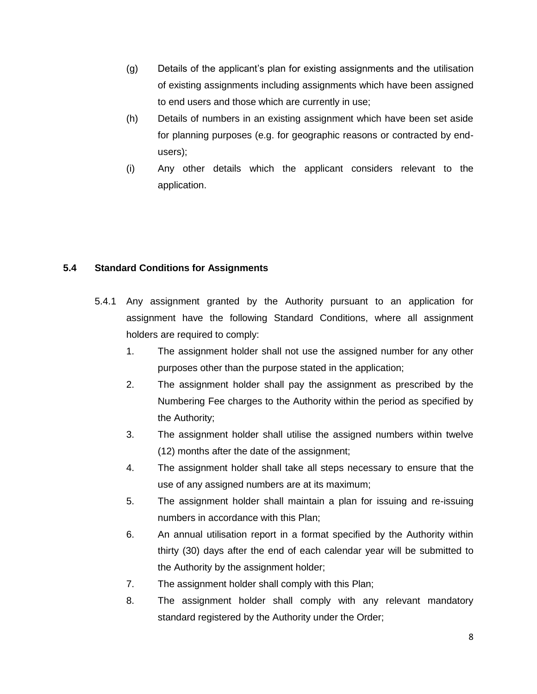- (g) Details of the applicant's plan for existing assignments and the utilisation of existing assignments including assignments which have been assigned to end users and those which are currently in use;
- (h) Details of numbers in an existing assignment which have been set aside for planning purposes (e.g. for geographic reasons or contracted by endusers);
- (i) Any other details which the applicant considers relevant to the application.

#### **5.4 Standard Conditions for Assignments**

- 5.4.1 Any assignment granted by the Authority pursuant to an application for assignment have the following Standard Conditions, where all assignment holders are required to comply:
	- 1. The assignment holder shall not use the assigned number for any other purposes other than the purpose stated in the application;
	- 2. The assignment holder shall pay the assignment as prescribed by the Numbering Fee charges to the Authority within the period as specified by the Authority;
	- 3. The assignment holder shall utilise the assigned numbers within twelve (12) months after the date of the assignment;
	- 4. The assignment holder shall take all steps necessary to ensure that the use of any assigned numbers are at its maximum;
	- 5. The assignment holder shall maintain a plan for issuing and re-issuing numbers in accordance with this Plan;
	- 6. An annual utilisation report in a format specified by the Authority within thirty (30) days after the end of each calendar year will be submitted to the Authority by the assignment holder;
	- 7. The assignment holder shall comply with this Plan;
	- 8. The assignment holder shall comply with any relevant mandatory standard registered by the Authority under the Order;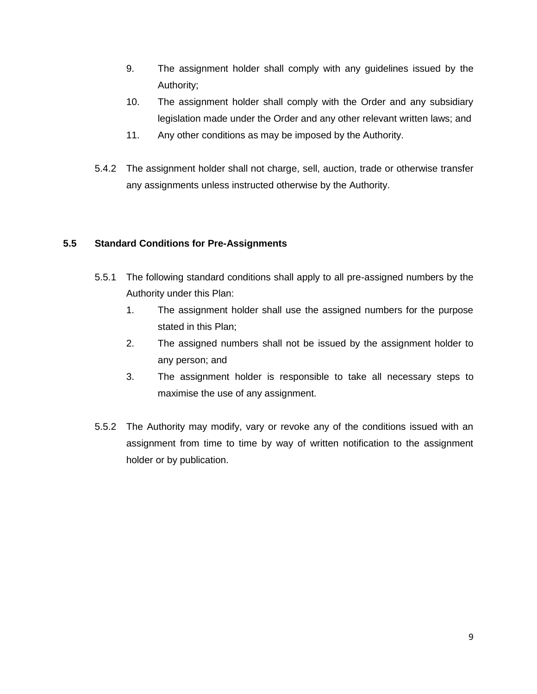- 9. The assignment holder shall comply with any guidelines issued by the Authority;
- 10. The assignment holder shall comply with the Order and any subsidiary legislation made under the Order and any other relevant written laws; and
- 11. Any other conditions as may be imposed by the Authority.
- 5.4.2 The assignment holder shall not charge, sell, auction, trade or otherwise transfer any assignments unless instructed otherwise by the Authority.

#### **5.5 Standard Conditions for Pre-Assignments**

- 5.5.1 The following standard conditions shall apply to all pre-assigned numbers by the Authority under this Plan:
	- 1. The assignment holder shall use the assigned numbers for the purpose stated in this Plan;
	- 2. The assigned numbers shall not be issued by the assignment holder to any person; and
	- 3. The assignment holder is responsible to take all necessary steps to maximise the use of any assignment.
- 5.5.2 The Authority may modify, vary or revoke any of the conditions issued with an assignment from time to time by way of written notification to the assignment holder or by publication.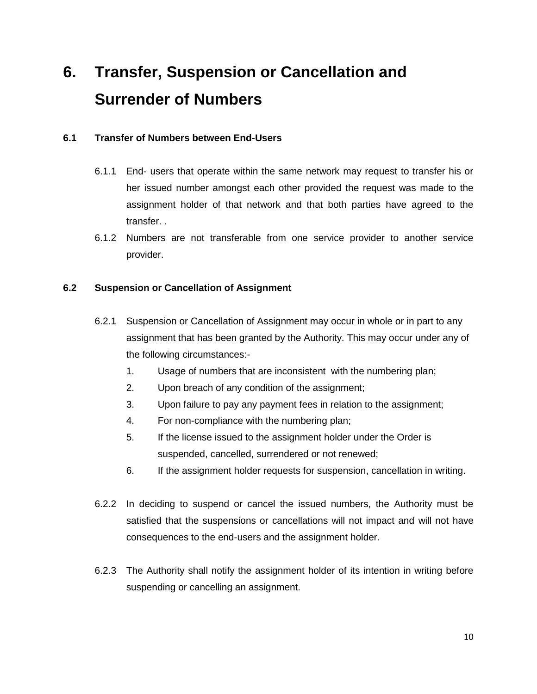## **6. Transfer, Suspension or Cancellation and Surrender of Numbers**

#### **6.1 Transfer of Numbers between End-Users**

- 6.1.1 End- users that operate within the same network may request to transfer his or her issued number amongst each other provided the request was made to the assignment holder of that network and that both parties have agreed to the transfer. .
- 6.1.2 Numbers are not transferable from one service provider to another service provider.

#### **6.2 Suspension or Cancellation of Assignment**

- 6.2.1 Suspension or Cancellation of Assignment may occur in whole or in part to any assignment that has been granted by the Authority. This may occur under any of the following circumstances:-
	- 1. Usage of numbers that are inconsistent with the numbering plan;
	- 2. Upon breach of any condition of the assignment;
	- 3. Upon failure to pay any payment fees in relation to the assignment;
	- 4. For non-compliance with the numbering plan;
	- 5. If the license issued to the assignment holder under the Order is suspended, cancelled, surrendered or not renewed;
	- 6. If the assignment holder requests for suspension, cancellation in writing.
- 6.2.2 In deciding to suspend or cancel the issued numbers, the Authority must be satisfied that the suspensions or cancellations will not impact and will not have consequences to the end-users and the assignment holder.
- 6.2.3 The Authority shall notify the assignment holder of its intention in writing before suspending or cancelling an assignment.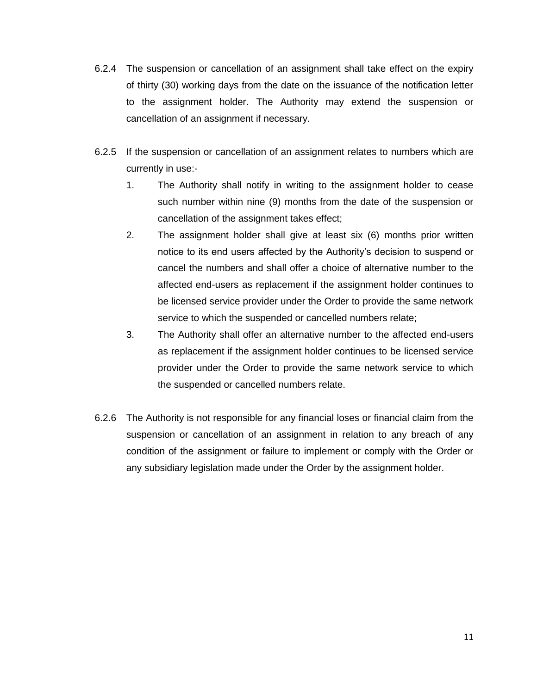- 6.2.4 The suspension or cancellation of an assignment shall take effect on the expiry of thirty (30) working days from the date on the issuance of the notification letter to the assignment holder. The Authority may extend the suspension or cancellation of an assignment if necessary.
- 6.2.5 If the suspension or cancellation of an assignment relates to numbers which are currently in use:-
	- 1. The Authority shall notify in writing to the assignment holder to cease such number within nine (9) months from the date of the suspension or cancellation of the assignment takes effect;
	- 2. The assignment holder shall give at least six (6) months prior written notice to its end users affected by the Authority's decision to suspend or cancel the numbers and shall offer a choice of alternative number to the affected end-users as replacement if the assignment holder continues to be licensed service provider under the Order to provide the same network service to which the suspended or cancelled numbers relate;
	- 3. The Authority shall offer an alternative number to the affected end-users as replacement if the assignment holder continues to be licensed service provider under the Order to provide the same network service to which the suspended or cancelled numbers relate.
- 6.2.6 The Authority is not responsible for any financial loses or financial claim from the suspension or cancellation of an assignment in relation to any breach of any condition of the assignment or failure to implement or comply with the Order or any subsidiary legislation made under the Order by the assignment holder.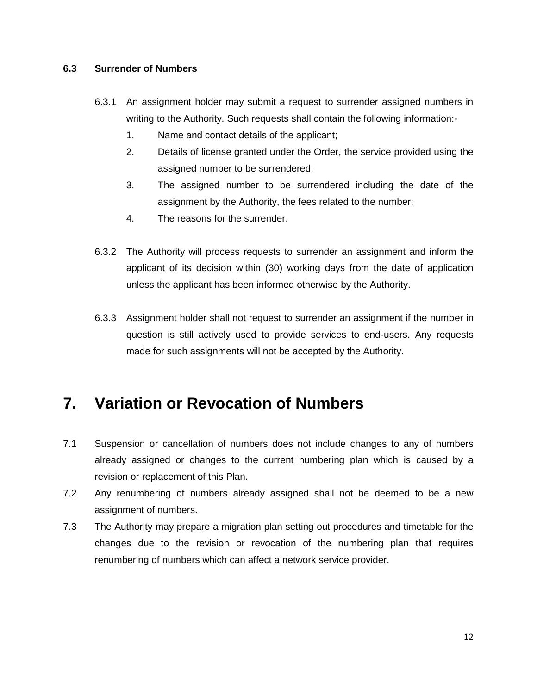#### **6.3 Surrender of Numbers**

- 6.3.1 An assignment holder may submit a request to surrender assigned numbers in writing to the Authority. Such requests shall contain the following information:-
	- 1. Name and contact details of the applicant;
	- 2. Details of license granted under the Order, the service provided using the assigned number to be surrendered;
	- 3. The assigned number to be surrendered including the date of the assignment by the Authority, the fees related to the number;
	- 4. The reasons for the surrender.
- 6.3.2 The Authority will process requests to surrender an assignment and inform the applicant of its decision within (30) working days from the date of application unless the applicant has been informed otherwise by the Authority.
- 6.3.3 Assignment holder shall not request to surrender an assignment if the number in question is still actively used to provide services to end-users. Any requests made for such assignments will not be accepted by the Authority.

### **7. Variation or Revocation of Numbers**

- 7.1 Suspension or cancellation of numbers does not include changes to any of numbers already assigned or changes to the current numbering plan which is caused by a revision or replacement of this Plan.
- 7.2 Any renumbering of numbers already assigned shall not be deemed to be a new assignment of numbers.
- 7.3 The Authority may prepare a migration plan setting out procedures and timetable for the changes due to the revision or revocation of the numbering plan that requires renumbering of numbers which can affect a network service provider.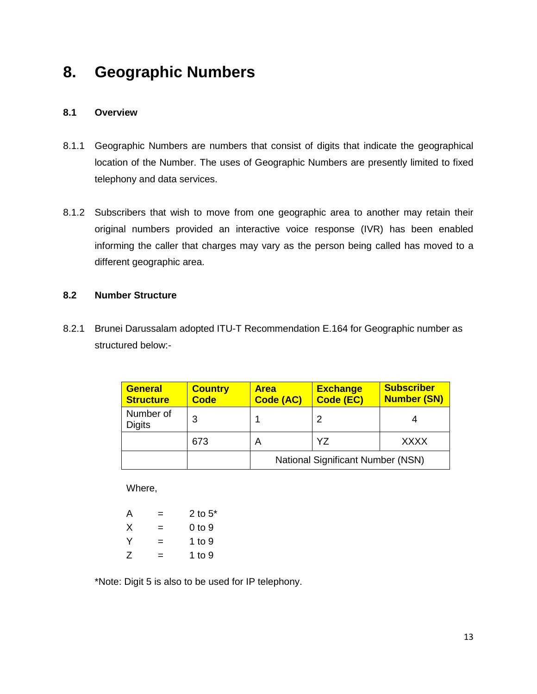### **8. Geographic Numbers**

#### **8.1 Overview**

- 8.1.1 Geographic Numbers are numbers that consist of digits that indicate the geographical location of the Number. The uses of Geographic Numbers are presently limited to fixed telephony and data services.
- 8.1.2 Subscribers that wish to move from one geographic area to another may retain their original numbers provided an interactive voice response (IVR) has been enabled informing the caller that charges may vary as the person being called has moved to a different geographic area.

#### **8.2 Number Structure**

8.2.1 Brunei Darussalam adopted ITU-T Recommendation E.164 for Geographic number as structured below:-

| <b>General</b><br><b>Structure</b> | <b>Country</b><br><b>Code</b> | <b>Area</b><br>Code (AC) | <b>Exchange</b><br>Code (EC)             | <b>Subscriber</b><br><b>Number (SN)</b> |
|------------------------------------|-------------------------------|--------------------------|------------------------------------------|-----------------------------------------|
| Number of<br><b>Digits</b>         | 3                             |                          |                                          |                                         |
|                                    | 673                           |                          | Y7                                       | <b>XXXX</b>                             |
|                                    |                               |                          | <b>National Significant Number (NSN)</b> |                                         |

Where,

| A |   | 2 to $5^*$ |
|---|---|------------|
| X | = | 0 to 9     |
| Y | = | 1 to 9     |
| Z | = | 1 to 9     |

\*Note: Digit 5 is also to be used for IP telephony.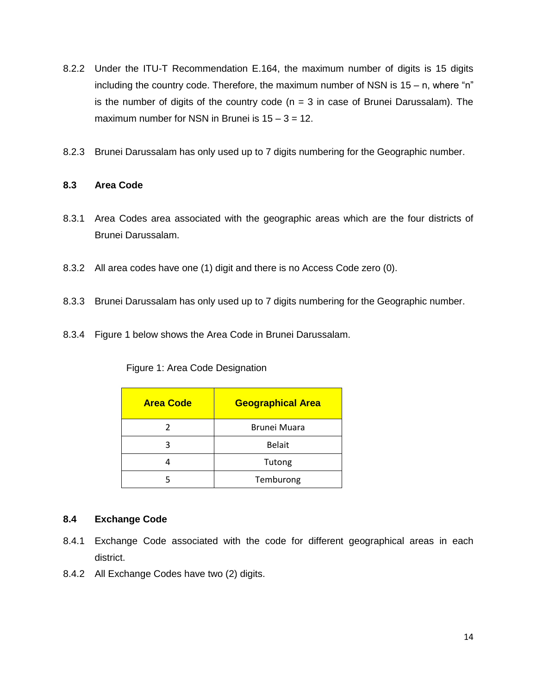- 8.2.2 Under the ITU-T Recommendation E.164, the maximum number of digits is 15 digits including the country code. Therefore, the maximum number of NSN is  $15 - n$ , where "n" is the number of digits of the country code  $(n = 3$  in case of Brunei Darussalam). The maximum number for NSN in Brunei is  $15 - 3 = 12$ .
- 8.2.3 Brunei Darussalam has only used up to 7 digits numbering for the Geographic number.

#### **8.3 Area Code**

- 8.3.1 Area Codes area associated with the geographic areas which are the four districts of Brunei Darussalam.
- 8.3.2 All area codes have one (1) digit and there is no Access Code zero (0).
- 8.3.3 Brunei Darussalam has only used up to 7 digits numbering for the Geographic number.
- 8.3.4 Figure 1 below shows the Area Code in Brunei Darussalam.

#### Figure 1: Area Code Designation

| <b>Area Code</b> | <b>Geographical Area</b> |
|------------------|--------------------------|
|                  | Brunei Muara             |
|                  | <b>Belait</b>            |
|                  | Tutong                   |
|                  | Temburong                |

#### **8.4 Exchange Code**

- 8.4.1 Exchange Code associated with the code for different geographical areas in each district.
- 8.4.2 All Exchange Codes have two (2) digits.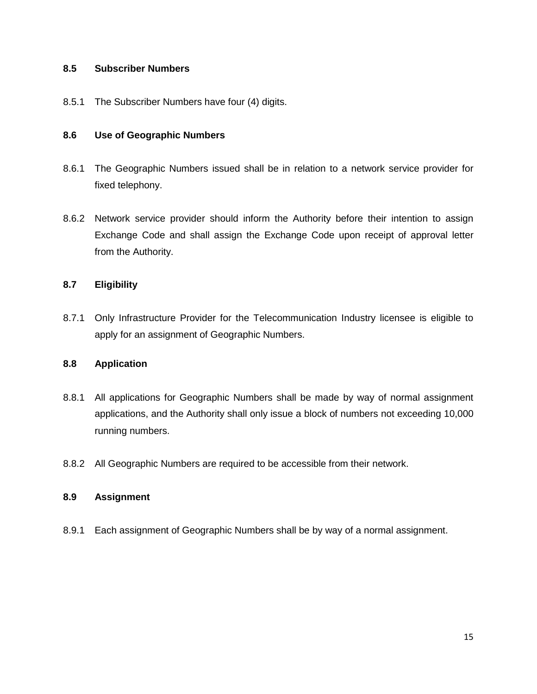#### **8.5 Subscriber Numbers**

8.5.1 The Subscriber Numbers have four (4) digits.

#### **8.6 Use of Geographic Numbers**

- 8.6.1 The Geographic Numbers issued shall be in relation to a network service provider for fixed telephony.
- 8.6.2 Network service provider should inform the Authority before their intention to assign Exchange Code and shall assign the Exchange Code upon receipt of approval letter from the Authority.

#### **8.7 Eligibility**

8.7.1 Only Infrastructure Provider for the Telecommunication Industry licensee is eligible to apply for an assignment of Geographic Numbers.

#### **8.8 Application**

- 8.8.1 All applications for Geographic Numbers shall be made by way of normal assignment applications, and the Authority shall only issue a block of numbers not exceeding 10,000 running numbers.
- 8.8.2 All Geographic Numbers are required to be accessible from their network.

#### **8.9 Assignment**

8.9.1 Each assignment of Geographic Numbers shall be by way of a normal assignment.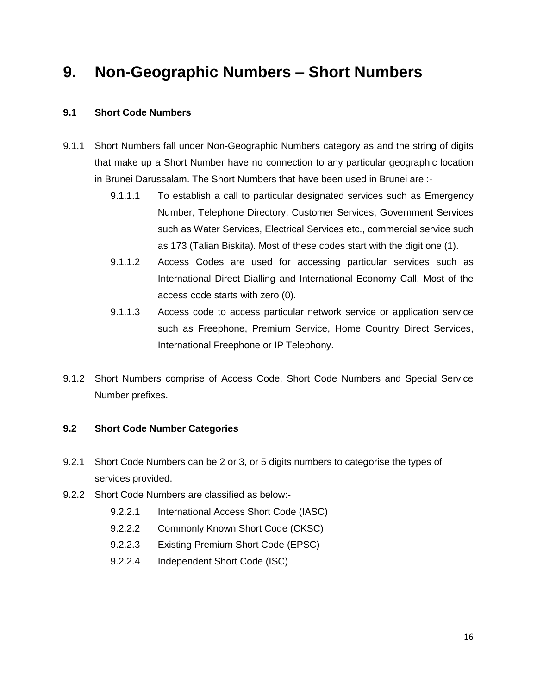### **9. Non-Geographic Numbers – Short Numbers**

#### **9.1 Short Code Numbers**

- 9.1.1 Short Numbers fall under Non-Geographic Numbers category as and the string of digits that make up a Short Number have no connection to any particular geographic location in Brunei Darussalam. The Short Numbers that have been used in Brunei are :-
	- 9.1.1.1 To establish a call to particular designated services such as Emergency Number, Telephone Directory, Customer Services, Government Services such as Water Services, Electrical Services etc., commercial service such as 173 (Talian Biskita). Most of these codes start with the digit one (1).
	- 9.1.1.2 Access Codes are used for accessing particular services such as International Direct Dialling and International Economy Call. Most of the access code starts with zero (0).
	- 9.1.1.3 Access code to access particular network service or application service such as Freephone, Premium Service, Home Country Direct Services, International Freephone or IP Telephony.
- 9.1.2 Short Numbers comprise of Access Code, Short Code Numbers and Special Service Number prefixes.

#### **9.2 Short Code Number Categories**

- 9.2.1 Short Code Numbers can be 2 or 3, or 5 digits numbers to categorise the types of services provided.
- 9.2.2 Short Code Numbers are classified as below:-
	- 9.2.2.1 International Access Short Code (IASC)
	- 9.2.2.2 Commonly Known Short Code (CKSC)
	- 9.2.2.3 Existing Premium Short Code (EPSC)
	- 9.2.2.4 Independent Short Code (ISC)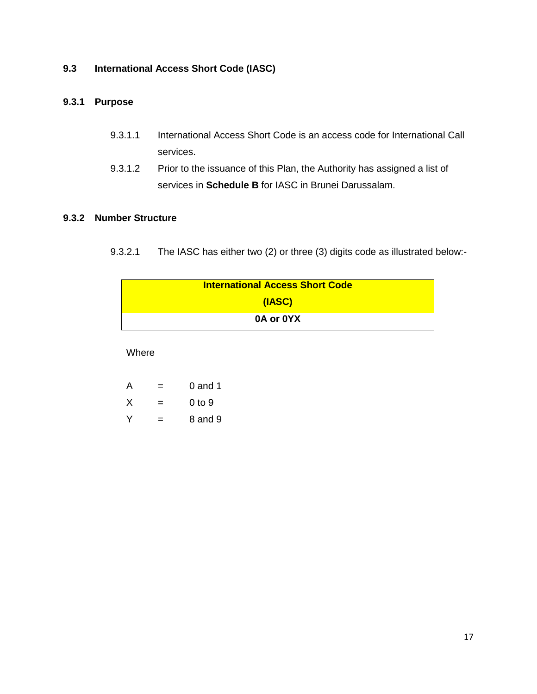#### **9.3 International Access Short Code (IASC)**

### **9.3.1 Purpose**

- 9.3.1.1 International Access Short Code is an access code for International Call services.
- 9.3.1.2 Prior to the issuance of this Plan, the Authority has assigned a list of services in **Schedule B** for IASC in Brunei Darussalam.

#### **9.3.2 Number Structure**

9.3.2.1 The IASC has either two (2) or three (3) digits code as illustrated below:-

| <b>International Access Short Code</b> |
|----------------------------------------|
| (IASC)                                 |
| 0A or 0YX                              |

Where

| $\mathsf{A}$ | =   | $0$ and 1 |
|--------------|-----|-----------|
| X            | $=$ | 0 to 9    |
| v            | =   | 8 and 9   |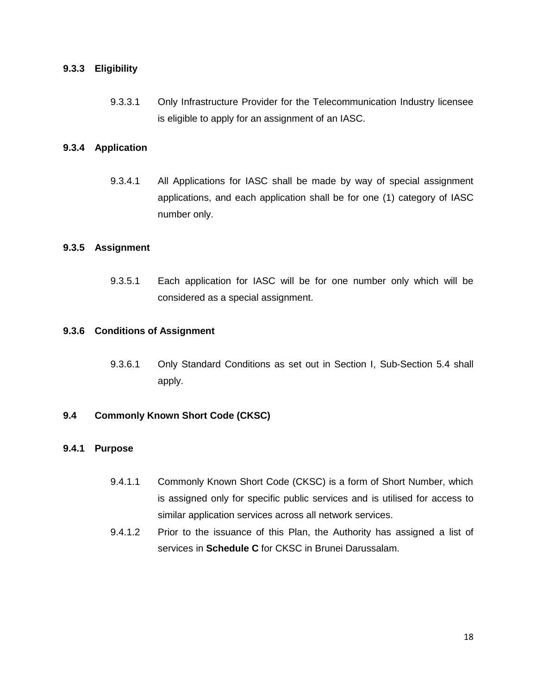#### **9.3.3 Eligibility**

9.3.3.1 Only Infrastructure Provider for the Telecommunication Industry licensee is eligible to apply for an assignment of an IASC.

#### **9.3.4 Application**

9.3.4.1 All Applications for IASC shall be made by way of special assignment applications, and each application shall be for one (1) category of IASC number only.

#### **9.3.5 Assignment**

9.3.5.1 Each application for IASC will be for one number only which will be considered as a special assignment.

#### **9.3.6 Conditions of Assignment**

9.3.6.1 Only Standard Conditions as set out in Section I, Sub-Section 5.4 shall apply.

#### **9.4 Commonly Known Short Code (CKSC)**

#### **9.4.1 Purpose**

- 9.4.1.1 Commonly Known Short Code (CKSC) is a form of Short Number, which is assigned only for specific public services and is utilised for access to similar application services across all network services.
- 9.4.1.2 Prior to the issuance of this Plan, the Authority has assigned a list of services in **Schedule C** for CKSC in Brunei Darussalam.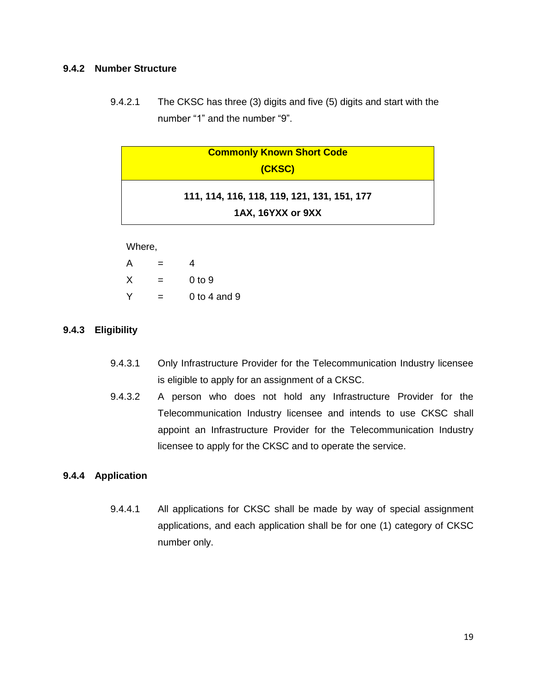#### **9.4.2 Number Structure**

9.4.2.1 The CKSC has three (3) digits and five (5) digits and start with the number "1" and the number "9".

| <b>Commonly Known Short Code</b>                                 |  |
|------------------------------------------------------------------|--|
| (CKSC)                                                           |  |
| 111, 114, 116, 118, 119, 121, 131, 151, 177<br>1AX, 16YXX or 9XX |  |

Where,

| A | =   | 4                 |
|---|-----|-------------------|
| х | $=$ | 0 <sub>to</sub> 9 |
| Υ | =   | 0 to 4 and 9      |

#### **9.4.3 Eligibility**

- 9.4.3.1 Only Infrastructure Provider for the Telecommunication Industry licensee is eligible to apply for an assignment of a CKSC.
- 9.4.3.2 A person who does not hold any Infrastructure Provider for the Telecommunication Industry licensee and intends to use CKSC shall appoint an Infrastructure Provider for the Telecommunication Industry licensee to apply for the CKSC and to operate the service.

#### **9.4.4 Application**

9.4.4.1 All applications for CKSC shall be made by way of special assignment applications, and each application shall be for one (1) category of CKSC number only.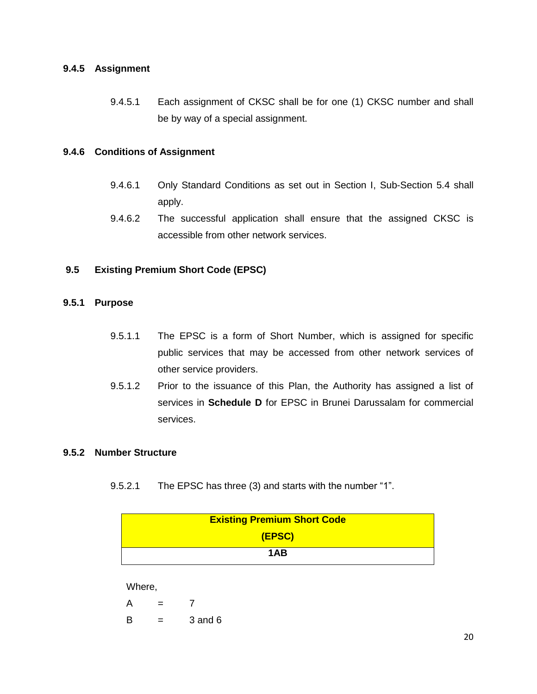#### **9.4.5 Assignment**

9.4.5.1 Each assignment of CKSC shall be for one (1) CKSC number and shall be by way of a special assignment.

#### **9.4.6 Conditions of Assignment**

- 9.4.6.1 Only Standard Conditions as set out in Section I, Sub-Section 5.4 shall apply.
- 9.4.6.2 The successful application shall ensure that the assigned CKSC is accessible from other network services.

#### **9.5 Existing Premium Short Code (EPSC)**

#### **9.5.1 Purpose**

- 9.5.1.1 The EPSC is a form of Short Number, which is assigned for specific public services that may be accessed from other network services of other service providers.
- 9.5.1.2 Prior to the issuance of this Plan, the Authority has assigned a list of services in **Schedule D** for EPSC in Brunei Darussalam for commercial services.

#### **9.5.2 Number Structure**

9.5.2.1 The EPSC has three (3) and starts with the number "1".

| <b>Existing Premium Short Code</b> |
|------------------------------------|
| (EPSC)                             |
| 1AB                                |

Where,

 $A = 7$  $B = 3$  and 6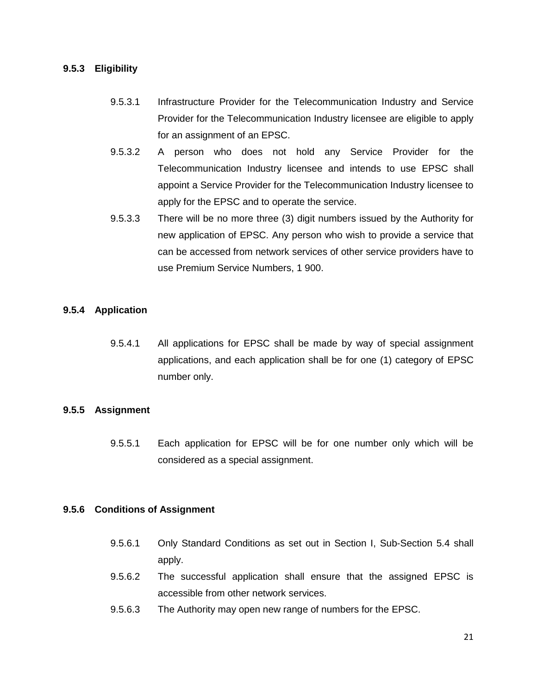#### **9.5.3 Eligibility**

- 9.5.3.1 Infrastructure Provider for the Telecommunication Industry and Service Provider for the Telecommunication Industry licensee are eligible to apply for an assignment of an EPSC.
- 9.5.3.2 A person who does not hold any Service Provider for the Telecommunication Industry licensee and intends to use EPSC shall appoint a Service Provider for the Telecommunication Industry licensee to apply for the EPSC and to operate the service.
- 9.5.3.3 There will be no more three (3) digit numbers issued by the Authority for new application of EPSC. Any person who wish to provide a service that can be accessed from network services of other service providers have to use Premium Service Numbers, 1 900.

#### **9.5.4 Application**

9.5.4.1 All applications for EPSC shall be made by way of special assignment applications, and each application shall be for one (1) category of EPSC number only.

#### **9.5.5 Assignment**

9.5.5.1 Each application for EPSC will be for one number only which will be considered as a special assignment.

#### **9.5.6 Conditions of Assignment**

- 9.5.6.1 Only Standard Conditions as set out in Section I, Sub-Section 5.4 shall apply.
- 9.5.6.2 The successful application shall ensure that the assigned EPSC is accessible from other network services.
- 9.5.6.3 The Authority may open new range of numbers for the EPSC.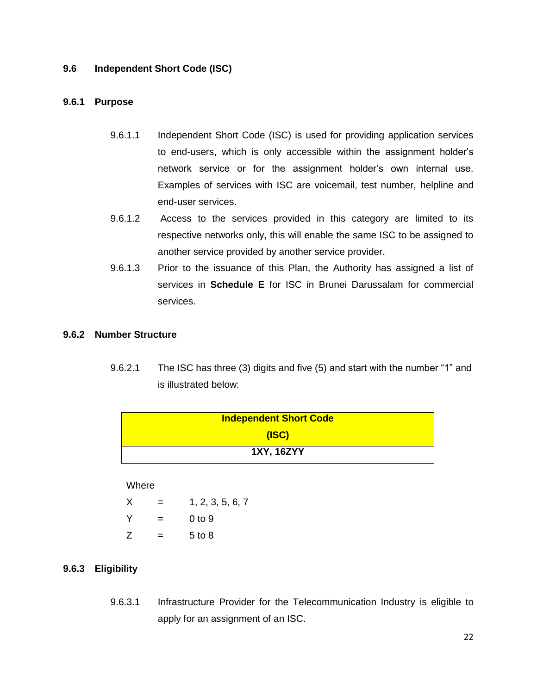#### **9.6 Independent Short Code (ISC)**

#### **9.6.1 Purpose**

- 9.6.1.1 Independent Short Code (ISC) is used for providing application services to end-users, which is only accessible within the assignment holder's network service or for the assignment holder's own internal use. Examples of services with ISC are voicemail, test number, helpline and end-user services.
- 9.6.1.2 Access to the services provided in this category are limited to its respective networks only, this will enable the same ISC to be assigned to another service provided by another service provider.
- 9.6.1.3 Prior to the issuance of this Plan, the Authority has assigned a list of services in **Schedule E** for ISC in Brunei Darussalam for commercial services.

#### **9.6.2 Number Structure**

9.6.2.1 The ISC has three (3) digits and five (5) and start with the number "1" and is illustrated below:

| <b>Independent Short Code</b> |
|-------------------------------|
| (ISC)                         |
| <b>1XY, 16ZYY</b>             |

#### Where

| X | = | 1, 2, 3, 5, 6, 7  |
|---|---|-------------------|
| Y | = | 0 <sub>to</sub> 9 |
| Z | = | 5 to 8            |

#### **9.6.3 Eligibility**

9.6.3.1 Infrastructure Provider for the Telecommunication Industry is eligible to apply for an assignment of an ISC.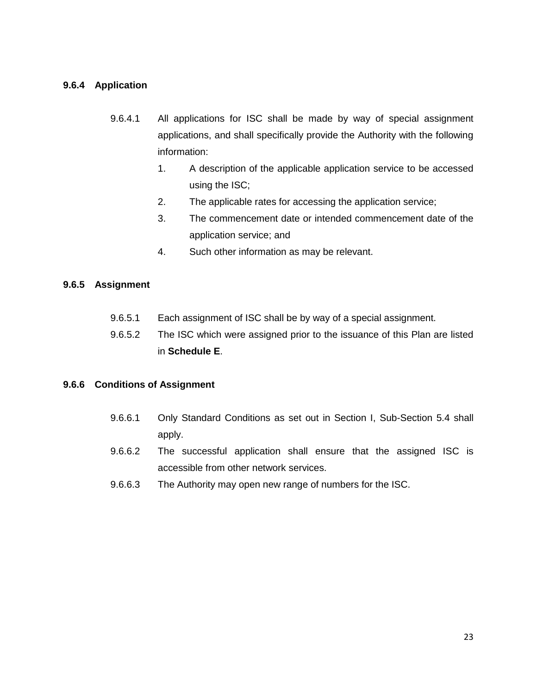#### **9.6.4 Application**

- 9.6.4.1 All applications for ISC shall be made by way of special assignment applications, and shall specifically provide the Authority with the following information:
	- 1. A description of the applicable application service to be accessed using the ISC;
	- 2. The applicable rates for accessing the application service;
	- 3. The commencement date or intended commencement date of the application service; and
	- 4. Such other information as may be relevant.

#### **9.6.5 Assignment**

- 9.6.5.1 Each assignment of ISC shall be by way of a special assignment.
- 9.6.5.2 The ISC which were assigned prior to the issuance of this Plan are listed in **Schedule E**.

#### **9.6.6 Conditions of Assignment**

- 9.6.6.1 Only Standard Conditions as set out in Section I, Sub-Section 5.4 shall apply.
- 9.6.6.2 The successful application shall ensure that the assigned ISC is accessible from other network services.
- 9.6.6.3 The Authority may open new range of numbers for the ISC.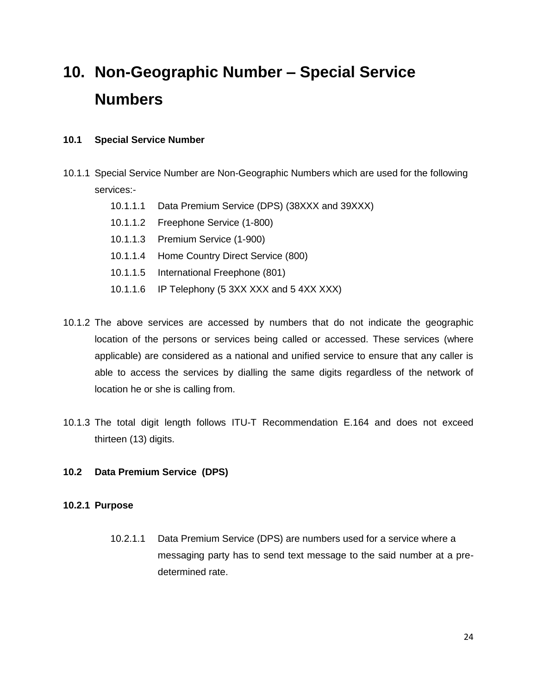## **10. Non-Geographic Number – Special Service Numbers**

#### **10.1 Special Service Number**

- 10.1.1 Special Service Number are Non-Geographic Numbers which are used for the following services:-
	- 10.1.1.1 Data Premium Service (DPS) (38XXX and 39XXX)
	- 10.1.1.2 Freephone Service (1-800)
	- 10.1.1.3 Premium Service (1-900)
	- 10.1.1.4 Home Country Direct Service (800)
	- 10.1.1.5 International Freephone (801)
	- 10.1.1.6 IP Telephony (5 3XX XXX and 5 4XX XXX)
- 10.1.2 The above services are accessed by numbers that do not indicate the geographic location of the persons or services being called or accessed. These services (where applicable) are considered as a national and unified service to ensure that any caller is able to access the services by dialling the same digits regardless of the network of location he or she is calling from.
- 10.1.3 The total digit length follows ITU-T Recommendation E.164 and does not exceed thirteen (13) digits.

#### **10.2 Data Premium Service (DPS)**

#### **10.2.1 Purpose**

10.2.1.1 Data Premium Service (DPS) are numbers used for a service where a messaging party has to send text message to the said number at a predetermined rate.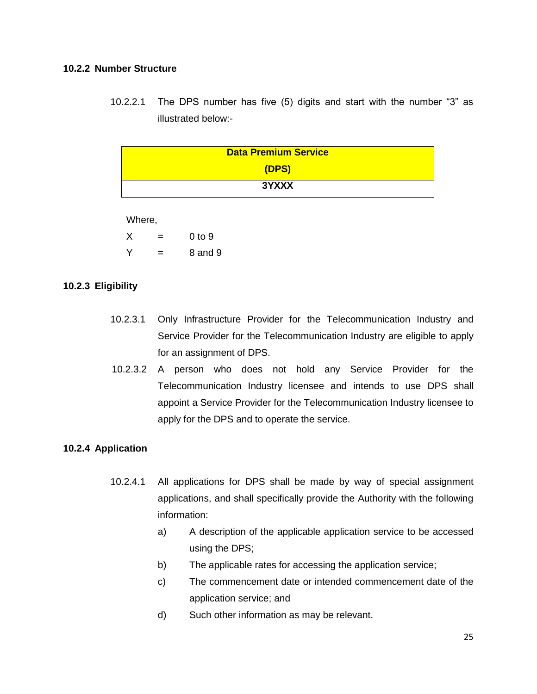#### **10.2.2 Number Structure**

10.2.2.1 The DPS number has five (5) digits and start with the number "3" as illustrated below:-

| <b>Data Premium Service</b> |
|-----------------------------|
| (DPS)                       |
| 3YXXX                       |
|                             |

Where,

 $X = 0$  to 9  $Y = 8$  and 9

#### **10.2.3 Eligibility**

- 10.2.3.1 Only Infrastructure Provider for the Telecommunication Industry and Service Provider for the Telecommunication Industry are eligible to apply for an assignment of DPS.
- 10.2.3.2 A person who does not hold any Service Provider for the Telecommunication Industry licensee and intends to use DPS shall appoint a Service Provider for the Telecommunication Industry licensee to apply for the DPS and to operate the service.

#### **10.2.4 Application**

- 10.2.4.1 All applications for DPS shall be made by way of special assignment applications, and shall specifically provide the Authority with the following information:
	- a) A description of the applicable application service to be accessed using the DPS;
	- b) The applicable rates for accessing the application service;
	- c) The commencement date or intended commencement date of the application service; and
	- d) Such other information as may be relevant.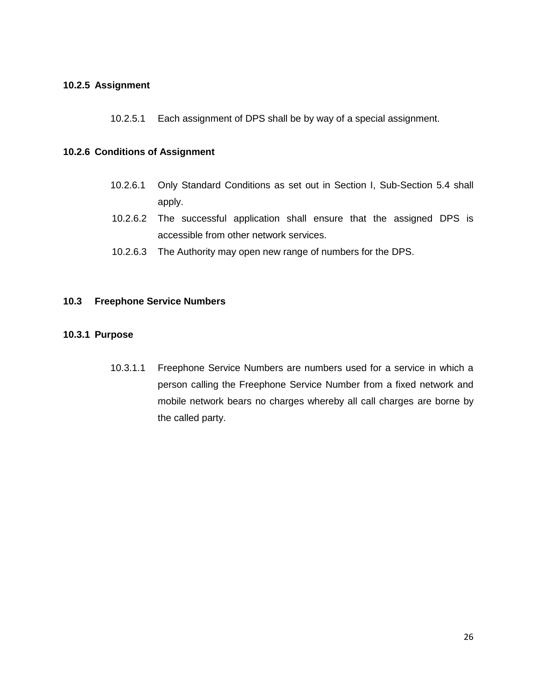#### **10.2.5 Assignment**

10.2.5.1 Each assignment of DPS shall be by way of a special assignment.

#### **10.2.6 Conditions of Assignment**

- 10.2.6.1 Only Standard Conditions as set out in Section I, Sub-Section 5.4 shall apply.
- 10.2.6.2 The successful application shall ensure that the assigned DPS is accessible from other network services.
- 10.2.6.3 The Authority may open new range of numbers for the DPS.

#### **10.3 Freephone Service Numbers**

#### **10.3.1 Purpose**

10.3.1.1 Freephone Service Numbers are numbers used for a service in which a person calling the Freephone Service Number from a fixed network and mobile network bears no charges whereby all call charges are borne by the called party.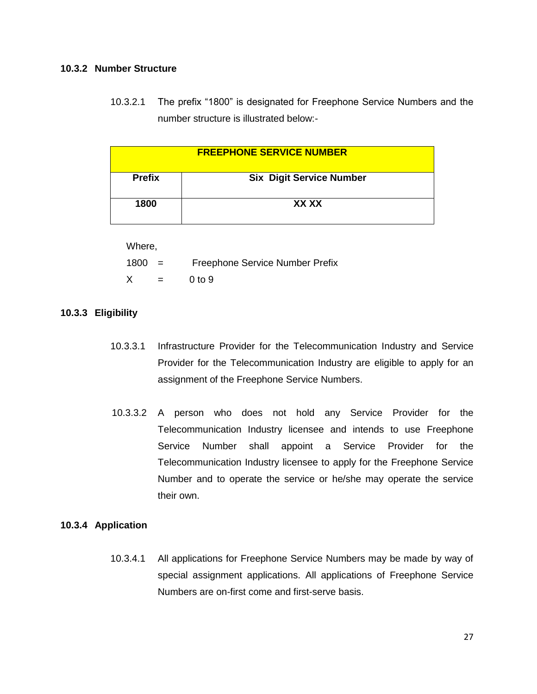#### **10.3.2 Number Structure**

10.3.2.1 The prefix "1800" is designated for Freephone Service Numbers and the number structure is illustrated below:-

| <b>FREEPHONE SERVICE NUMBER</b> |                                 |  |
|---------------------------------|---------------------------------|--|
| <b>Prefix</b>                   | <b>Six Digit Service Number</b> |  |
| 1800                            | XX XX                           |  |

Where,

| $1800 =$ |     | Freephone Service Number Prefix |
|----------|-----|---------------------------------|
| Χ        | $=$ | 0 <sub>to</sub> 9               |

#### **10.3.3 Eligibility**

- 10.3.3.1 Infrastructure Provider for the Telecommunication Industry and Service Provider for the Telecommunication Industry are eligible to apply for an assignment of the Freephone Service Numbers.
- 10.3.3.2 A person who does not hold any Service Provider for the Telecommunication Industry licensee and intends to use Freephone Service Number shall appoint a Service Provider for the Telecommunication Industry licensee to apply for the Freephone Service Number and to operate the service or he/she may operate the service their own.

#### **10.3.4 Application**

10.3.4.1 All applications for Freephone Service Numbers may be made by way of special assignment applications. All applications of Freephone Service Numbers are on-first come and first-serve basis.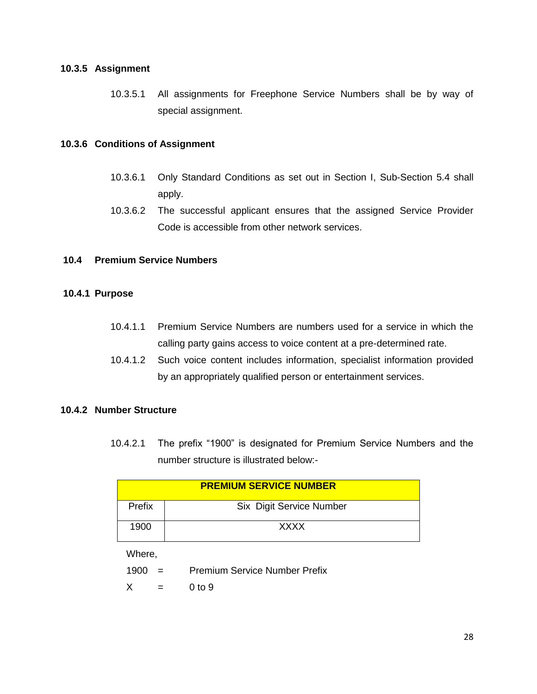#### **10.3.5 Assignment**

10.3.5.1 All assignments for Freephone Service Numbers shall be by way of special assignment.

#### **10.3.6 Conditions of Assignment**

- 10.3.6.1 Only Standard Conditions as set out in Section I, Sub-Section 5.4 shall apply.
- 10.3.6.2 The successful applicant ensures that the assigned Service Provider Code is accessible from other network services.

#### **10.4 Premium Service Numbers**

#### **10.4.1 Purpose**

- 10.4.1.1 Premium Service Numbers are numbers used for a service in which the calling party gains access to voice content at a pre-determined rate.
- 10.4.1.2 Such voice content includes information, specialist information provided by an appropriately qualified person or entertainment services.

#### **10.4.2 Number Structure**

10.4.2.1 The prefix "1900" is designated for Premium Service Numbers and the number structure is illustrated below:-

| <b>PREMIUM SERVICE NUMBER</b> |                          |  |
|-------------------------------|--------------------------|--|
| Prefix                        | Six Digit Service Number |  |
| 1900                          | <b>XXXX</b>              |  |

Where,

- 1900 = Premium Service Number Prefix
- $X = 0$  to 9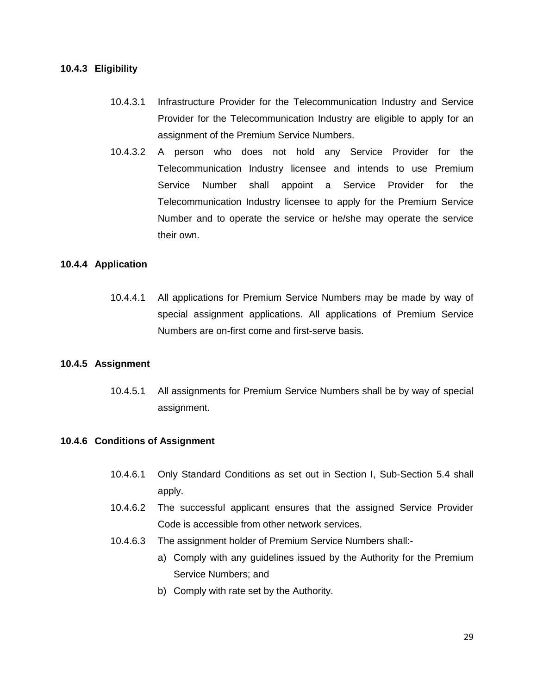#### **10.4.3 Eligibility**

- 10.4.3.1 Infrastructure Provider for the Telecommunication Industry and Service Provider for the Telecommunication Industry are eligible to apply for an assignment of the Premium Service Numbers.
- 10.4.3.2 A person who does not hold any Service Provider for the Telecommunication Industry licensee and intends to use Premium Service Number shall appoint a Service Provider for the Telecommunication Industry licensee to apply for the Premium Service Number and to operate the service or he/she may operate the service their own.

#### **10.4.4 Application**

10.4.4.1 All applications for Premium Service Numbers may be made by way of special assignment applications. All applications of Premium Service Numbers are on-first come and first-serve basis.

#### **10.4.5 Assignment**

10.4.5.1 All assignments for Premium Service Numbers shall be by way of special assignment.

#### **10.4.6 Conditions of Assignment**

- 10.4.6.1 Only Standard Conditions as set out in Section I, Sub-Section 5.4 shall apply.
- 10.4.6.2 The successful applicant ensures that the assigned Service Provider Code is accessible from other network services.
- 10.4.6.3 The assignment holder of Premium Service Numbers shall:
	- a) Comply with any guidelines issued by the Authority for the Premium Service Numbers; and
	- b) Comply with rate set by the Authority.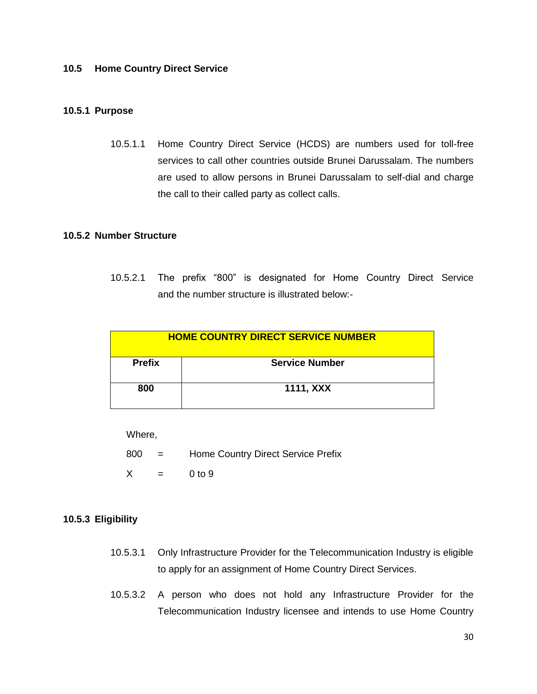#### **10.5 Home Country Direct Service**

#### **10.5.1 Purpose**

10.5.1.1 Home Country Direct Service (HCDS) are numbers used for toll-free services to call other countries outside Brunei Darussalam. The numbers are used to allow persons in Brunei Darussalam to self-dial and charge the call to their called party as collect calls.

#### **10.5.2 Number Structure**

10.5.2.1 The prefix "800" is designated for Home Country Direct Service and the number structure is illustrated below:-

| <b>HOME COUNTRY DIRECT SERVICE NUMBER</b> |                       |  |
|-------------------------------------------|-----------------------|--|
| <b>Prefix</b>                             | <b>Service Number</b> |  |
| 800                                       | 1111, XXX             |  |

Where,

- 800 = Home Country Direct Service Prefix
- $X = 0$  to 9

#### **10.5.3 Eligibility**

- 10.5.3.1 Only Infrastructure Provider for the Telecommunication Industry is eligible to apply for an assignment of Home Country Direct Services.
- 10.5.3.2 A person who does not hold any Infrastructure Provider for the Telecommunication Industry licensee and intends to use Home Country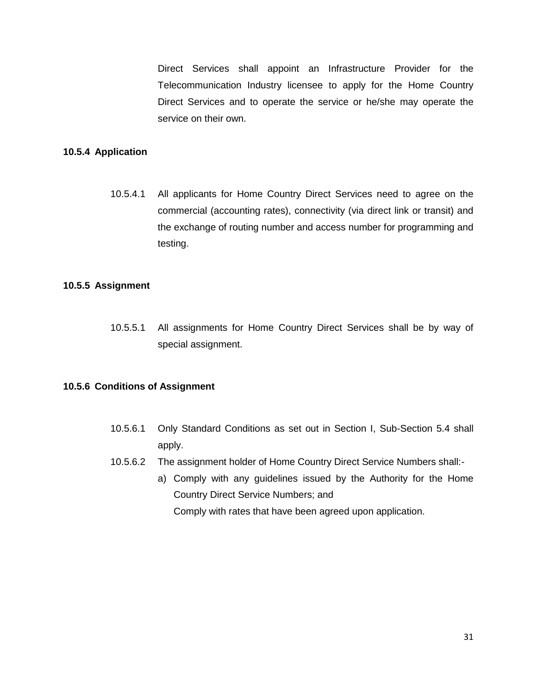Direct Services shall appoint an Infrastructure Provider for the Telecommunication Industry licensee to apply for the Home Country Direct Services and to operate the service or he/she may operate the service on their own.

#### **10.5.4 Application**

10.5.4.1 All applicants for Home Country Direct Services need to agree on the commercial (accounting rates), connectivity (via direct link or transit) and the exchange of routing number and access number for programming and testing.

#### **10.5.5 Assignment**

10.5.5.1 All assignments for Home Country Direct Services shall be by way of special assignment.

#### **10.5.6 Conditions of Assignment**

- 10.5.6.1 Only Standard Conditions as set out in Section I, Sub-Section 5.4 shall apply.
- 10.5.6.2 The assignment holder of Home Country Direct Service Numbers shall:
	- a) Comply with any guidelines issued by the Authority for the Home Country Direct Service Numbers; and Comply with rates that have been agreed upon application.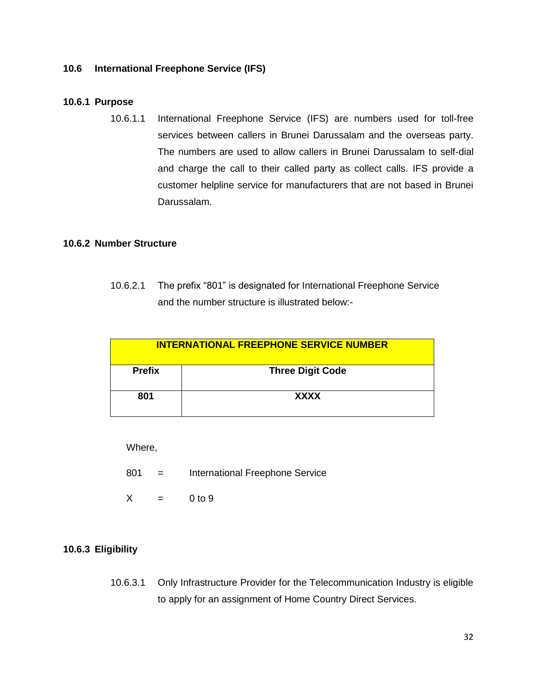#### **10.6 International Freephone Service (IFS)**

#### **10.6.1 Purpose**

10.6.1.1 International Freephone Service (IFS) are numbers used for toll-free services between callers in Brunei Darussalam and the overseas party. The numbers are used to allow callers in Brunei Darussalam to self-dial and charge the call to their called party as collect calls. IFS provide a customer helpline service for manufacturers that are not based in Brunei Darussalam.

#### **10.6.2 Number Structure**

10.6.2.1 The prefix "801" is designated for International Freephone Service and the number structure is illustrated below:-

| INTERNATIONAL FREEPHONE SERVICE NUMBER |                         |  |
|----------------------------------------|-------------------------|--|
| <b>Prefix</b>                          | <b>Three Digit Code</b> |  |
| 801                                    | <b>XXXX</b>             |  |

Where,

- 801 = International Freephone Service
- $X = 0$  to 9

#### **10.6.3 Eligibility**

10.6.3.1 Only Infrastructure Provider for the Telecommunication Industry is eligible to apply for an assignment of Home Country Direct Services.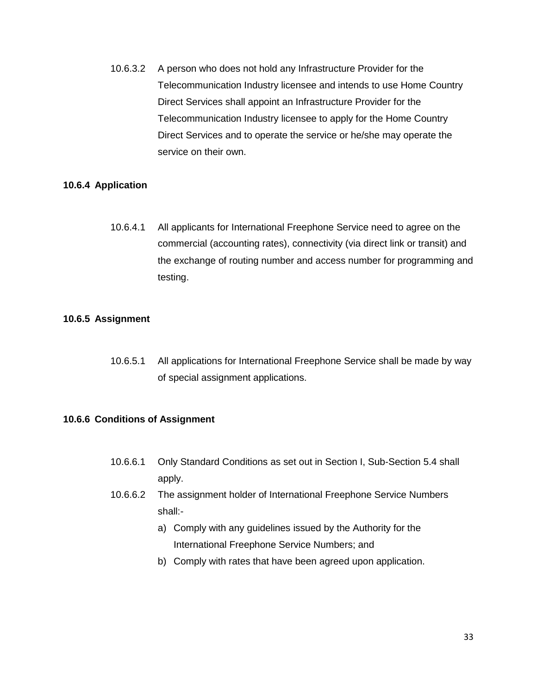10.6.3.2 A person who does not hold any Infrastructure Provider for the Telecommunication Industry licensee and intends to use Home Country Direct Services shall appoint an Infrastructure Provider for the Telecommunication Industry licensee to apply for the Home Country Direct Services and to operate the service or he/she may operate the service on their own.

#### **10.6.4 Application**

10.6.4.1 All applicants for International Freephone Service need to agree on the commercial (accounting rates), connectivity (via direct link or transit) and the exchange of routing number and access number for programming and testing.

#### **10.6.5 Assignment**

10.6.5.1 All applications for International Freephone Service shall be made by way of special assignment applications.

#### **10.6.6 Conditions of Assignment**

- 10.6.6.1 Only Standard Conditions as set out in Section I, Sub-Section 5.4 shall apply.
- 10.6.6.2 The assignment holder of International Freephone Service Numbers shall:
	- a) Comply with any guidelines issued by the Authority for the International Freephone Service Numbers; and
	- b) Comply with rates that have been agreed upon application.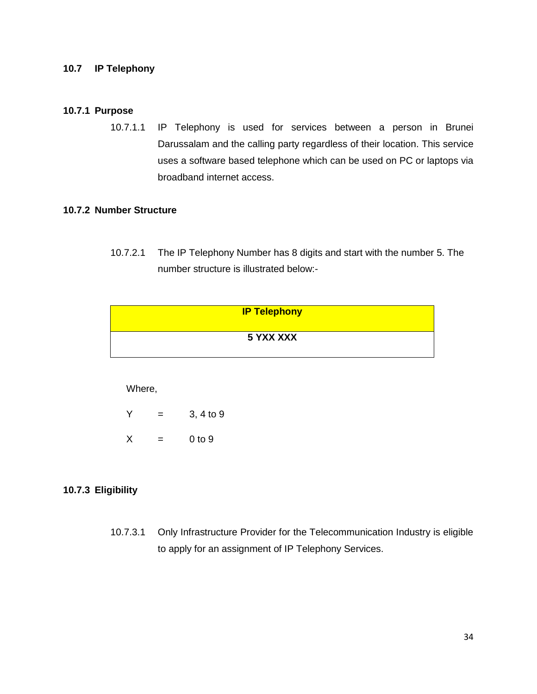#### **10.7 IP Telephony**

#### **10.7.1 Purpose**

10.7.1.1 IP Telephony is used for services between a person in Brunei Darussalam and the calling party regardless of their location. This service uses a software based telephone which can be used on PC or laptops via broadband internet access.

#### **10.7.2 Number Structure**

10.7.2.1 The IP Telephony Number has 8 digits and start with the number 5. The number structure is illustrated below:-

| <b>IP Telephony</b> |  |
|---------------------|--|
| 5 YXX XXX           |  |

#### Where,

| Y | = | 3, 4 to 9 |
|---|---|-----------|
| X | = | 0 to 9    |

#### **10.7.3 Eligibility**

10.7.3.1 Only Infrastructure Provider for the Telecommunication Industry is eligible to apply for an assignment of IP Telephony Services.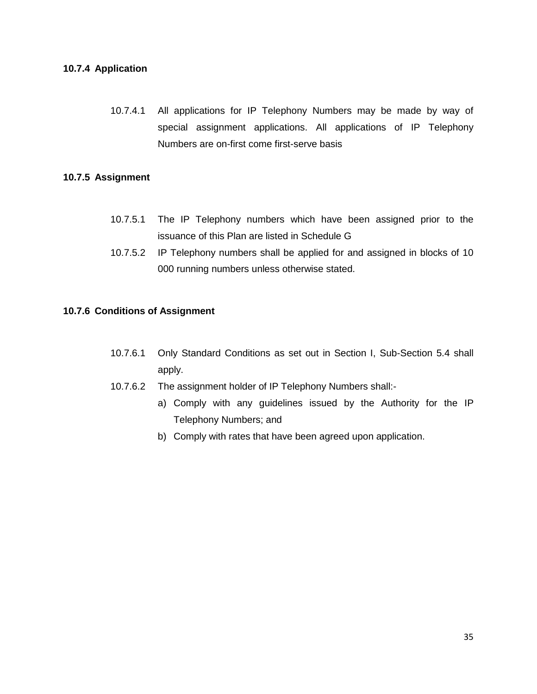#### **10.7.4 Application**

10.7.4.1 All applications for IP Telephony Numbers may be made by way of special assignment applications. All applications of IP Telephony Numbers are on-first come first-serve basis

#### **10.7.5 Assignment**

- 10.7.5.1 The IP Telephony numbers which have been assigned prior to the issuance of this Plan are listed in Schedule G
- 10.7.5.2 IP Telephony numbers shall be applied for and assigned in blocks of 10 000 running numbers unless otherwise stated.

#### **10.7.6 Conditions of Assignment**

- 10.7.6.1 Only Standard Conditions as set out in Section I, Sub-Section 5.4 shall apply.
- 10.7.6.2 The assignment holder of IP Telephony Numbers shall:
	- a) Comply with any guidelines issued by the Authority for the IP Telephony Numbers; and
	- b) Comply with rates that have been agreed upon application.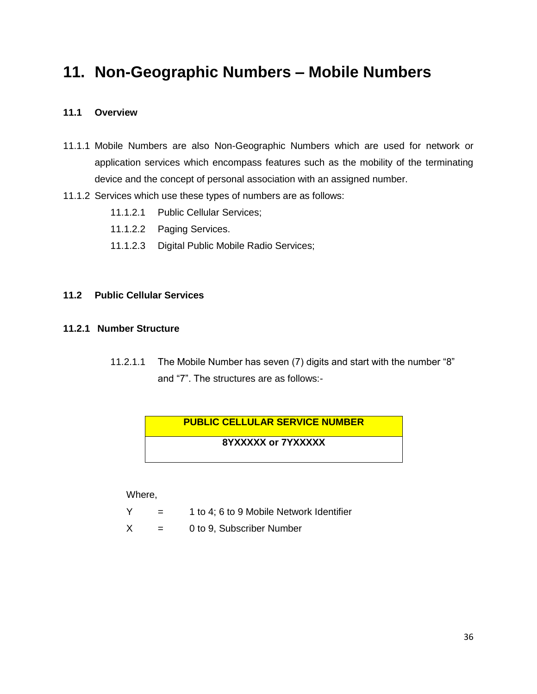### **11. Non-Geographic Numbers – Mobile Numbers**

#### **11.1 Overview**

- 11.1.1 Mobile Numbers are also Non-Geographic Numbers which are used for network or application services which encompass features such as the mobility of the terminating device and the concept of personal association with an assigned number.
- 11.1.2 Services which use these types of numbers are as follows:
	- 11.1.2.1 Public Cellular Services;
	- 11.1.2.2 Paging Services.
	- 11.1.2.3 Digital Public Mobile Radio Services;

#### **11.2 Public Cellular Services**

#### **11.2.1 Number Structure**

11.2.1.1 The Mobile Number has seven (7) digits and start with the number "8" and "7". The structures are as follows:-

# **PUBLIC CELLULAR SERVICE NUMBER 8YXXXXX or 7YXXXXX**

Where,

- $Y = 1$  to 4; 6 to 9 Mobile Network Identifier
- $X = 0$  to 9, Subscriber Number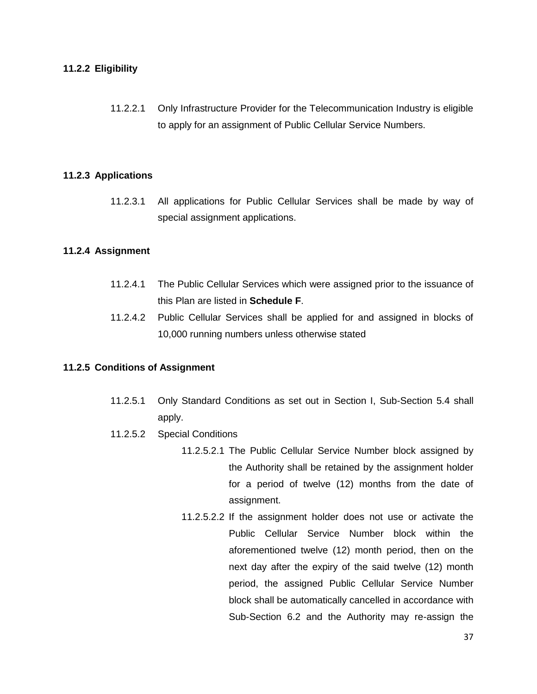#### **11.2.2 Eligibility**

11.2.2.1 Only Infrastructure Provider for the Telecommunication Industry is eligible to apply for an assignment of Public Cellular Service Numbers.

#### **11.2.3 Applications**

11.2.3.1 All applications for Public Cellular Services shall be made by way of special assignment applications.

#### **11.2.4 Assignment**

- 11.2.4.1 The Public Cellular Services which were assigned prior to the issuance of this Plan are listed in **Schedule F**.
- 11.2.4.2 Public Cellular Services shall be applied for and assigned in blocks of 10,000 running numbers unless otherwise stated

#### **11.2.5 Conditions of Assignment**

- 11.2.5.1 Only Standard Conditions as set out in Section I, Sub-Section 5.4 shall apply.
- 11.2.5.2 Special Conditions
	- 11.2.5.2.1 The Public Cellular Service Number block assigned by the Authority shall be retained by the assignment holder for a period of twelve (12) months from the date of assignment.
	- 11.2.5.2.2 If the assignment holder does not use or activate the Public Cellular Service Number block within the aforementioned twelve (12) month period, then on the next day after the expiry of the said twelve (12) month period, the assigned Public Cellular Service Number block shall be automatically cancelled in accordance with Sub-Section 6.2 and the Authority may re-assign the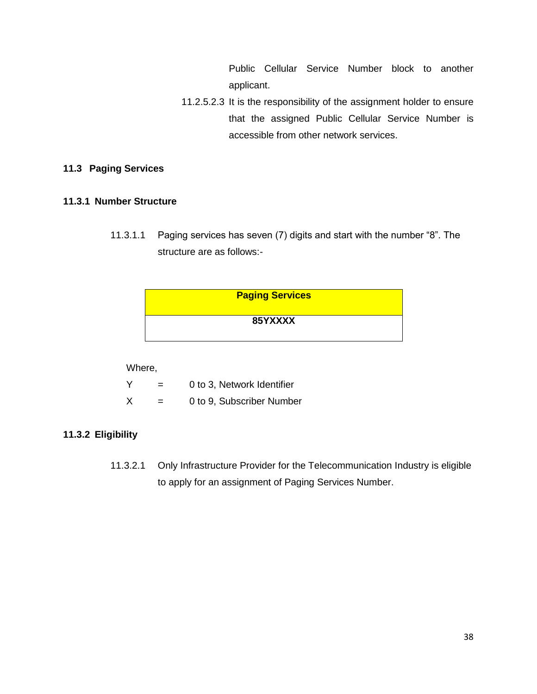Public Cellular Service Number block to another applicant.

11.2.5.2.3 It is the responsibility of the assignment holder to ensure that the assigned Public Cellular Service Number is accessible from other network services.

#### **11.3 Paging Services**

#### **11.3.1 Number Structure**

11.3.1.1 Paging services has seven (7) digits and start with the number "8". The structure are as follows:-

| <b>Paging Services</b> |  |
|------------------------|--|
| 85YXXXX                |  |
|                        |  |

#### Where,

| Y | = | 0 to 3, Network Identifier |
|---|---|----------------------------|
| X | = | 0 to 9, Subscriber Number  |

#### **11.3.2 Eligibility**

11.3.2.1 Only Infrastructure Provider for the Telecommunication Industry is eligible to apply for an assignment of Paging Services Number.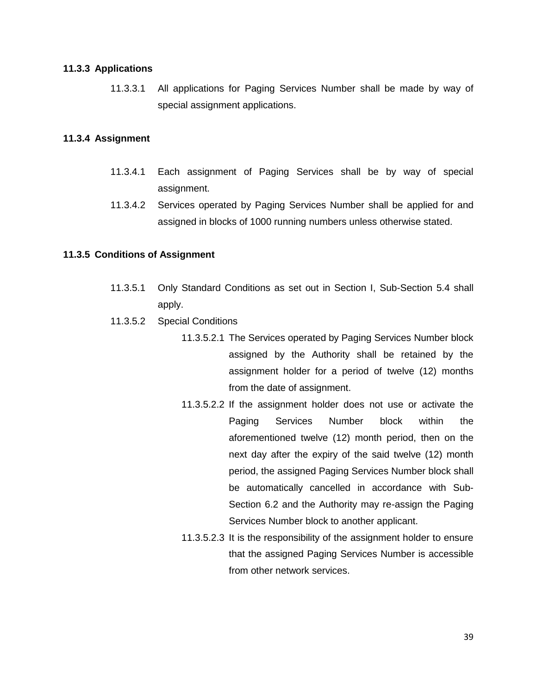#### **11.3.3 Applications**

11.3.3.1 All applications for Paging Services Number shall be made by way of special assignment applications.

#### **11.3.4 Assignment**

- 11.3.4.1 Each assignment of Paging Services shall be by way of special assignment.
- 11.3.4.2 Services operated by Paging Services Number shall be applied for and assigned in blocks of 1000 running numbers unless otherwise stated.

#### **11.3.5 Conditions of Assignment**

- 11.3.5.1 Only Standard Conditions as set out in Section I, Sub-Section 5.4 shall apply.
- 11.3.5.2 Special Conditions
	- 11.3.5.2.1 The Services operated by Paging Services Number block assigned by the Authority shall be retained by the assignment holder for a period of twelve (12) months from the date of assignment.
	- 11.3.5.2.2 If the assignment holder does not use or activate the Paging Services Number block within the aforementioned twelve (12) month period, then on the next day after the expiry of the said twelve (12) month period, the assigned Paging Services Number block shall be automatically cancelled in accordance with Sub-Section 6.2 and the Authority may re-assign the Paging Services Number block to another applicant.
	- 11.3.5.2.3 It is the responsibility of the assignment holder to ensure that the assigned Paging Services Number is accessible from other network services.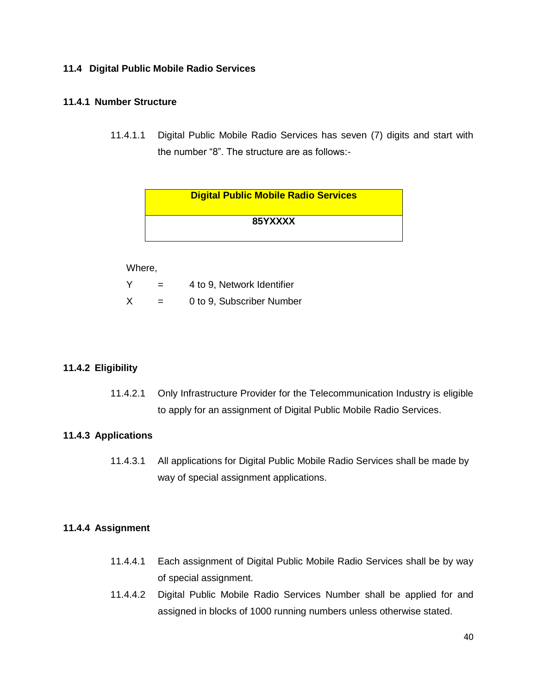#### **11.4 Digital Public Mobile Radio Services**

#### **11.4.1 Number Structure**

11.4.1.1 Digital Public Mobile Radio Services has seven (7) digits and start with the number "8". The structure are as follows:-

| <b>Digital Public Mobile Radio Services</b> |  |
|---------------------------------------------|--|
| 85YXXXX                                     |  |

#### Where,

| Y | 4 to 9, Network Identifier |
|---|----------------------------|
|   |                            |

 $X = 0$  to 9, Subscriber Number

#### **11.4.2 Eligibility**

11.4.2.1 Only Infrastructure Provider for the Telecommunication Industry is eligible to apply for an assignment of Digital Public Mobile Radio Services.

#### **11.4.3 Applications**

11.4.3.1 All applications for Digital Public Mobile Radio Services shall be made by way of special assignment applications.

#### **11.4.4 Assignment**

- 11.4.4.1 Each assignment of Digital Public Mobile Radio Services shall be by way of special assignment.
- 11.4.4.2 Digital Public Mobile Radio Services Number shall be applied for and assigned in blocks of 1000 running numbers unless otherwise stated.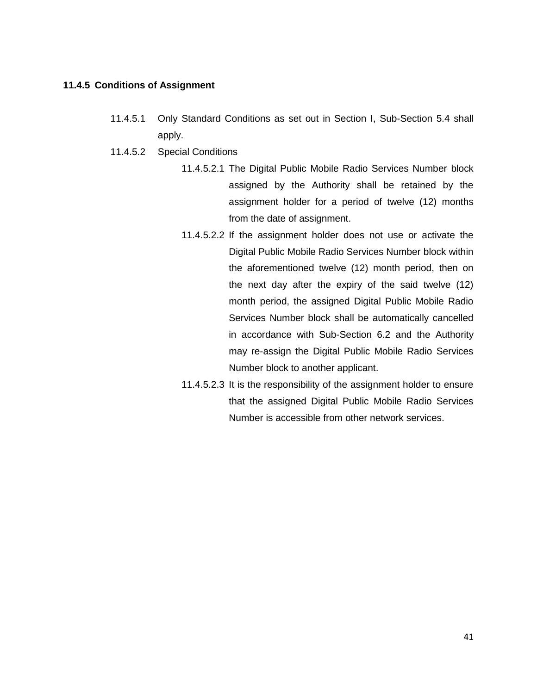#### **11.4.5 Conditions of Assignment**

- 11.4.5.1 Only Standard Conditions as set out in Section I, Sub-Section 5.4 shall apply.
- 11.4.5.2 Special Conditions
	- 11.4.5.2.1 The Digital Public Mobile Radio Services Number block assigned by the Authority shall be retained by the assignment holder for a period of twelve (12) months from the date of assignment.
	- 11.4.5.2.2 If the assignment holder does not use or activate the Digital Public Mobile Radio Services Number block within the aforementioned twelve (12) month period, then on the next day after the expiry of the said twelve (12) month period, the assigned Digital Public Mobile Radio Services Number block shall be automatically cancelled in accordance with Sub-Section 6.2 and the Authority may re-assign the Digital Public Mobile Radio Services Number block to another applicant.
	- 11.4.5.2.3 It is the responsibility of the assignment holder to ensure that the assigned Digital Public Mobile Radio Services Number is accessible from other network services.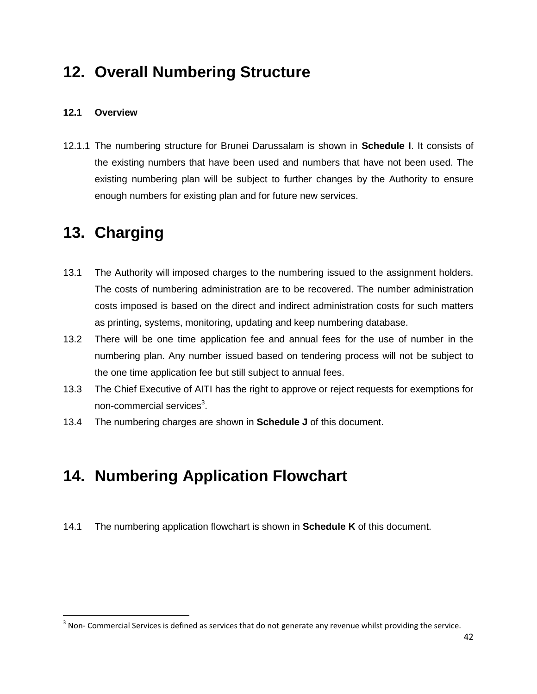### **12. Overall Numbering Structure**

#### **12.1 Overview**

12.1.1 The numbering structure for Brunei Darussalam is shown in **Schedule I**. It consists of the existing numbers that have been used and numbers that have not been used. The existing numbering plan will be subject to further changes by the Authority to ensure enough numbers for existing plan and for future new services.

### **13. Charging**

 $\overline{\phantom{a}}$ 

- 13.1 The Authority will imposed charges to the numbering issued to the assignment holders. The costs of numbering administration are to be recovered. The number administration costs imposed is based on the direct and indirect administration costs for such matters as printing, systems, monitoring, updating and keep numbering database.
- 13.2 There will be one time application fee and annual fees for the use of number in the numbering plan. Any number issued based on tendering process will not be subject to the one time application fee but still subject to annual fees.
- 13.3 The Chief Executive of AITI has the right to approve or reject requests for exemptions for non-commercial services $^3$ .
- 13.4 The numbering charges are shown in **Schedule J** of this document.

### **14. Numbering Application Flowchart**

14.1 The numbering application flowchart is shown in **Schedule K** of this document.

 $3$  Non- Commercial Services is defined as services that do not generate any revenue whilst providing the service.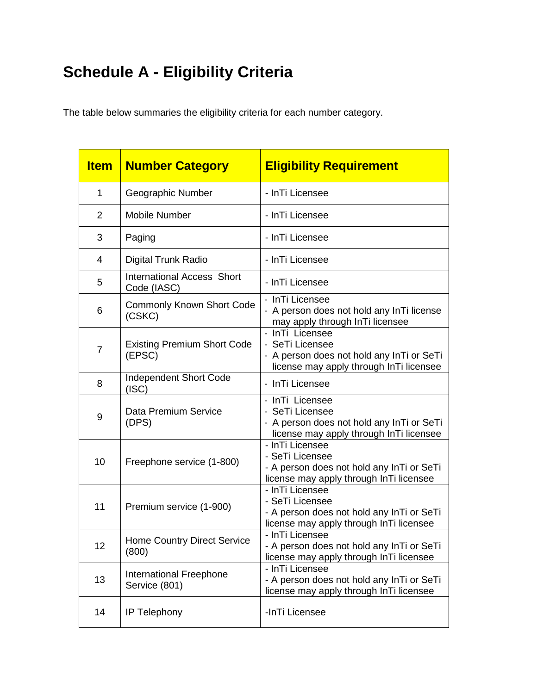### **Schedule A - Eligibility Criteria**

The table below summaries the eligibility criteria for each number category.

| <b>Item</b>    | <b>Number Category</b>                           | <b>Eligibility Requirement</b>                                                                                             |
|----------------|--------------------------------------------------|----------------------------------------------------------------------------------------------------------------------------|
| $\mathbf{1}$   | Geographic Number                                | - InTi Licensee                                                                                                            |
| $\overline{2}$ | <b>Mobile Number</b>                             | - InTi Licensee                                                                                                            |
| 3              | Paging                                           | - InTi Licensee                                                                                                            |
| 4              | Digital Trunk Radio                              | - InTi Licensee                                                                                                            |
| 5              | <b>International Access Short</b><br>Code (IASC) | - InTi Licensee                                                                                                            |
| 6              | <b>Commonly Known Short Code</b><br>(CSKC)       | - InTi Licensee<br>- A person does not hold any InTi license<br>may apply through InTi licensee                            |
| $\overline{7}$ | <b>Existing Premium Short Code</b><br>(EPSC)     | - InTi Licensee<br>- SeTi Licensee<br>- A person does not hold any InTi or SeTi<br>license may apply through InTi licensee |
| 8              | <b>Independent Short Code</b><br>(ISC)           | - InTi Licensee                                                                                                            |
| 9              | Data Premium Service<br>(DPS)                    | - InTi Licensee<br>- SeTi Licensee<br>- A person does not hold any InTi or SeTi<br>license may apply through InTi licensee |
| 10             | Freephone service (1-800)                        | - InTi Licensee<br>- SeTi Licensee<br>- A person does not hold any InTi or SeTi<br>license may apply through InTi licensee |
| 11             | Premium service (1-900)                          | - InTi Licensee<br>- SeTi Licensee<br>- A person does not hold any InTi or SeTi<br>license may apply through InTi licensee |
| 12             | <b>Home Country Direct Service</b><br>(800)      | - InTi Licensee<br>- A person does not hold any InTi or SeTi<br>license may apply through In Ti licensee                   |
| 13             | International Freephone<br>Service (801)         | - InTi Licensee<br>- A person does not hold any InTi or SeTi<br>license may apply through InTi licensee                    |
| 14             | IP Telephony                                     | -InTi Licensee                                                                                                             |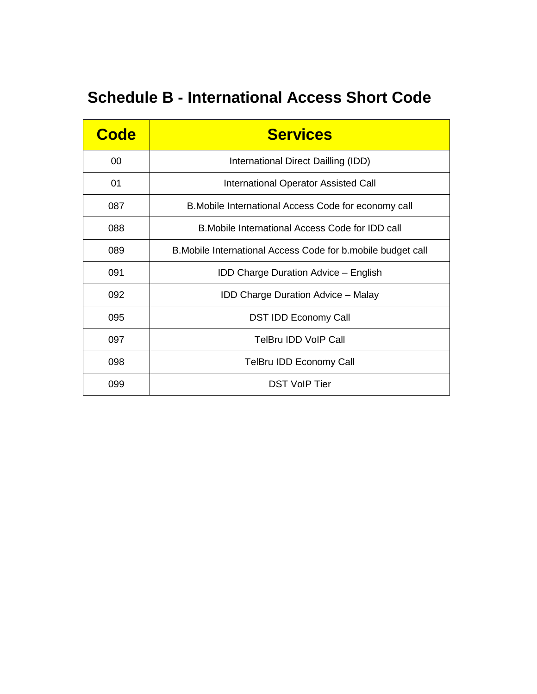### **Schedule B - International Access Short Code**

| <b>Code</b> | <b>Services</b>                                               |
|-------------|---------------------------------------------------------------|
| 00          | International Direct Dailling (IDD)                           |
| 01          | International Operator Assisted Call                          |
| 087         | B. Mobile International Access Code for economy call          |
| 088         | B. Mobile International Access Code for IDD call              |
| 089         | B. Mobile International Access Code for b. mobile budget call |
| 091         | <b>IDD Charge Duration Advice - English</b>                   |
| 092         | <b>IDD Charge Duration Advice - Malay</b>                     |
| 095         | <b>DST IDD Economy Call</b>                                   |
| 097         | TelBru IDD VoIP Call                                          |
| 098         | TelBru IDD Economy Call                                       |
| 099         | <b>DST VoIP Tier</b>                                          |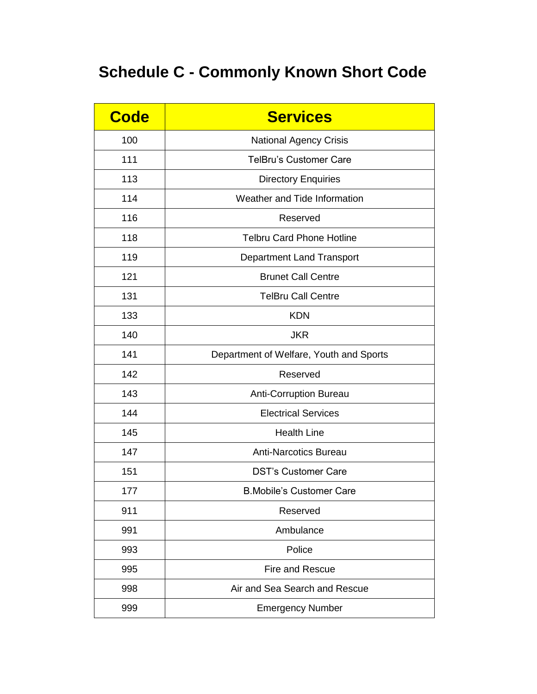### **Schedule C - Commonly Known Short Code**

| <b>Code</b> | <b>Services</b>                         |
|-------------|-----------------------------------------|
| 100         | <b>National Agency Crisis</b>           |
| 111         | <b>TelBru's Customer Care</b>           |
| 113         | <b>Directory Enquiries</b>              |
| 114         | Weather and Tide Information            |
| 116         | Reserved                                |
| 118         | <b>Telbru Card Phone Hotline</b>        |
| 119         | Department Land Transport               |
| 121         | <b>Brunet Call Centre</b>               |
| 131         | <b>TelBru Call Centre</b>               |
| 133         | <b>KDN</b>                              |
| 140         | <b>JKR</b>                              |
| 141         | Department of Welfare, Youth and Sports |
| 142         | Reserved                                |
| 143         | <b>Anti-Corruption Bureau</b>           |
| 144         | <b>Electrical Services</b>              |
| 145         | <b>Health Line</b>                      |
| 147         | <b>Anti-Narcotics Bureau</b>            |
| 151         | <b>DST's Customer Care</b>              |
| 177         | <b>B.Mobile's Customer Care</b>         |
| 911         | Reserved                                |
| 991         | Ambulance                               |
| 993         | Police                                  |
| 995         | Fire and Rescue                         |
| 998         | Air and Sea Search and Rescue           |
| 999         | <b>Emergency Number</b>                 |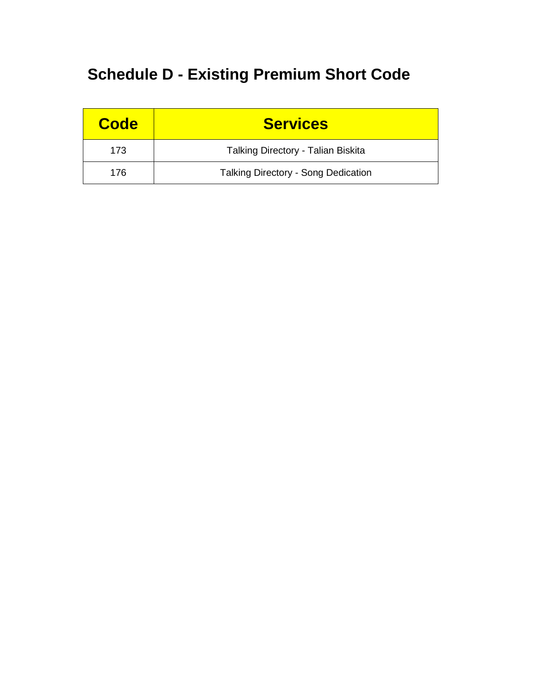### **Schedule D - Existing Premium Short Code**

| <b>Code</b> | <b>Services</b>                            |
|-------------|--------------------------------------------|
| 173         | Talking Directory - Talian Biskita         |
| 176         | <b>Talking Directory - Song Dedication</b> |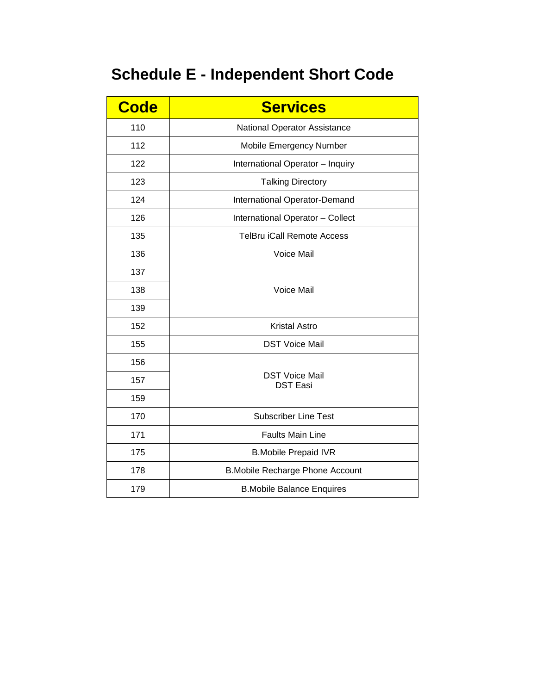### **Schedule E - Independent Short Code**

| <b>Code</b> | <b>Services</b>                          |
|-------------|------------------------------------------|
| 110         | National Operator Assistance             |
| 112         | Mobile Emergency Number                  |
| 122         | International Operator - Inquiry         |
| 123         | <b>Talking Directory</b>                 |
| 124         | International Operator-Demand            |
| 126         | International Operator - Collect         |
| 135         | <b>TelBru iCall Remote Access</b>        |
| 136         | Voice Mail                               |
| 137         |                                          |
| 138         | Voice Mail                               |
| 139         |                                          |
| 152         | <b>Kristal Astro</b>                     |
| 155         | <b>DST Voice Mail</b>                    |
| 156         |                                          |
| 157         | <b>DST Voice Mail</b><br><b>DST Easi</b> |
| 159         |                                          |
| 170         | <b>Subscriber Line Test</b>              |
| 171         | <b>Faults Main Line</b>                  |
| 175         | <b>B.Mobile Prepaid IVR</b>              |
| 178         | <b>B.Mobile Recharge Phone Account</b>   |
| 179         | <b>B.Mobile Balance Enquires</b>         |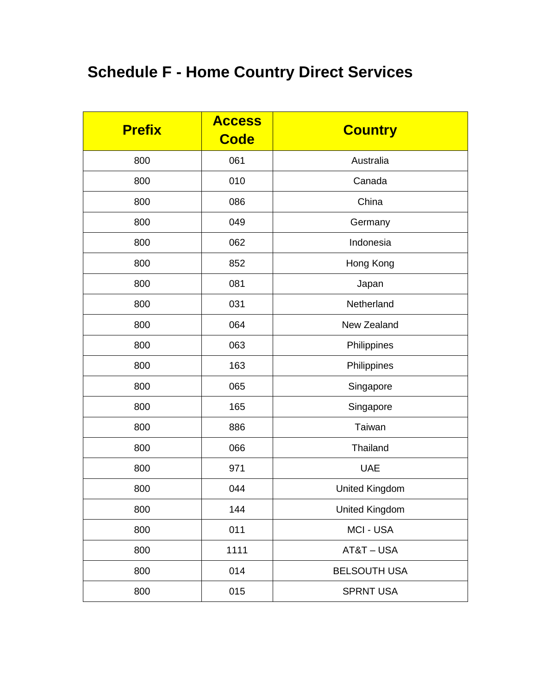### **Schedule F - Home Country Direct Services**

| <b>Prefix</b> | <b>Access</b><br><b>Code</b> | <b>Country</b>        |
|---------------|------------------------------|-----------------------|
| 800           | 061                          | Australia             |
| 800           | 010                          | Canada                |
| 800           | 086                          | China                 |
| 800           | 049                          | Germany               |
| 800           | 062                          | Indonesia             |
| 800           | 852                          | Hong Kong             |
| 800           | 081                          | Japan                 |
| 800           | 031                          | Netherland            |
| 800           | 064                          | New Zealand           |
| 800           | 063                          | Philippines           |
| 800           | 163                          | Philippines           |
| 800           | 065                          | Singapore             |
| 800           | 165                          | Singapore             |
| 800           | 886                          | Taiwan                |
| 800           | 066                          | Thailand              |
| 800           | 971                          | <b>UAE</b>            |
| 800           | 044                          | <b>United Kingdom</b> |
| 800           | 144                          | <b>United Kingdom</b> |
| 800           | 011                          | MCI - USA             |
| 800           | 1111                         | AT&T-USA              |
| 800           | 014                          | <b>BELSOUTH USA</b>   |
| 800           | 015                          | <b>SPRNT USA</b>      |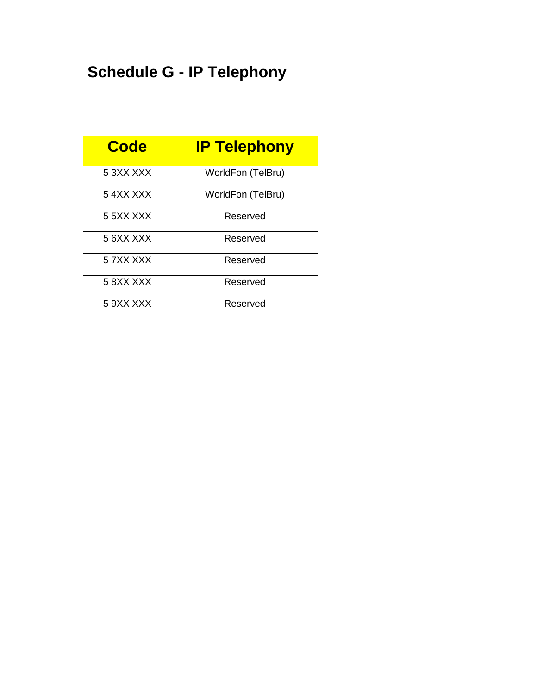### **Schedule G - IP Telephony**

| <b>Code</b>   | <b>IP Telephony</b> |
|---------------|---------------------|
| 5 3XX XXX     | WorldFon (TelBru)   |
| 54XXXXX       | WorldFon (TelBru)   |
| 5 5 X X X X X | Reserved            |
| 5 6XX XXX     | Reserved            |
| 5 7XX XXX     | Reserved            |
| 58XXXXX       | Reserved            |
| 5 9XX XXX     | Reserved            |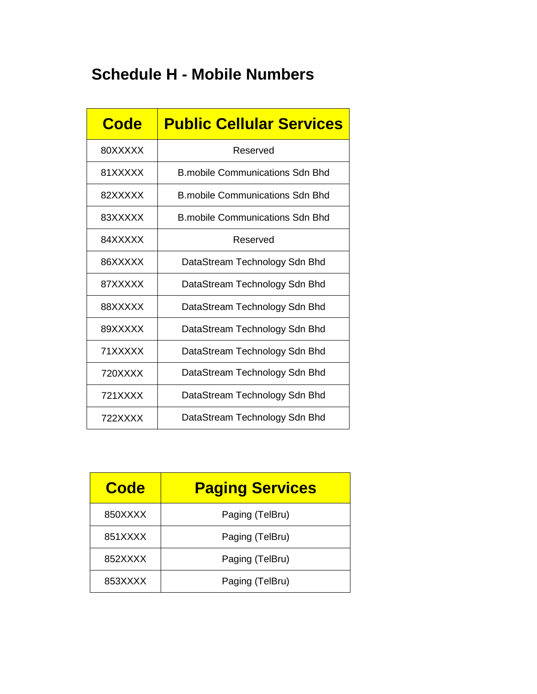### **Schedule H - Mobile Numbers**

| Code    | <b>Public Cellular Services</b>        |
|---------|----------------------------------------|
| 80XXXXX | Reserved                               |
| 81XXXXX | <b>B.mobile Communications Sdn Bhd</b> |
| 82XXXXX | B mobile Communications Sdn Bhd        |
| 83XXXXX | <b>B.mobile Communications Sdn Bhd</b> |
| 84XXXXX | Reserved                               |
| 86XXXXX | DataStream Technology Sdn Bhd          |
| 87XXXXX | DataStream Technology Sdn Bhd          |
| 88XXXXX | DataStream Technology Sdn Bhd          |
| 89XXXXX | DataStream Technology Sdn Bhd          |
| 71XXXXX | DataStream Technology Sdn Bhd          |
| 720XXXX | DataStream Technology Sdn Bhd          |
| 721XXXX | DataStream Technology Sdn Bhd          |
| 722XXXX | DataStream Technology Sdn Bhd          |

| <b>Code</b> | <b>Paging Services</b> |
|-------------|------------------------|
| 850XXXX     | Paging (TelBru)        |
| 851XXXX     | Paging (TelBru)        |
| 852XXXX     | Paging (TelBru)        |
| 853XXXX     | Paging (TelBru)        |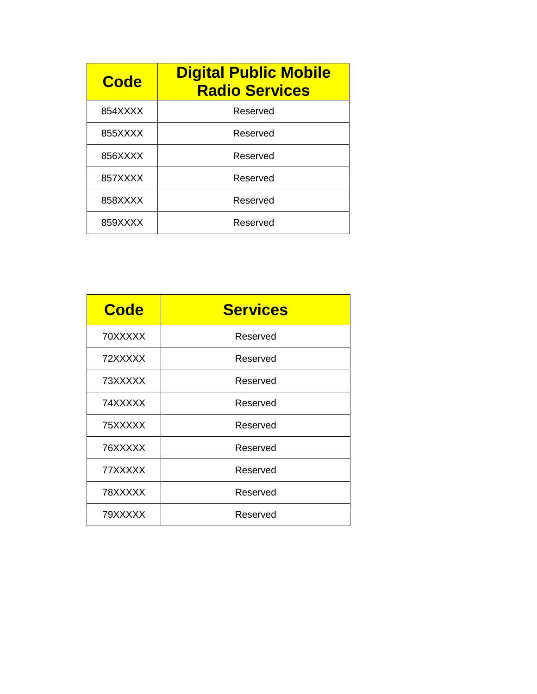| Code    | <b>Digital Public Mobile</b><br><b>Radio Services</b> |
|---------|-------------------------------------------------------|
| 854XXXX | Reserved                                              |
| 855XXXX | Reserved                                              |
| 856XXXX | Reserved                                              |
| 857XXXX | Reserved                                              |
| 858XXXX | Reserved                                              |
| 859XXXX | Reserved                                              |

| <b>Code</b> | <b>Services</b> |  |
|-------------|-----------------|--|
| 70XXXXX     | Reserved        |  |
| 72XXXXX     | Reserved        |  |
| 73XXXXX     | Reserved        |  |
| 74XXXXX     | Reserved        |  |
| 75XXXXX     | Reserved        |  |
| 76XXXXX     | Reserved        |  |
| 77XXXXX     | Reserved        |  |
| 78XXXXX     | Reserved        |  |
| 79XXXXX     | Reserved        |  |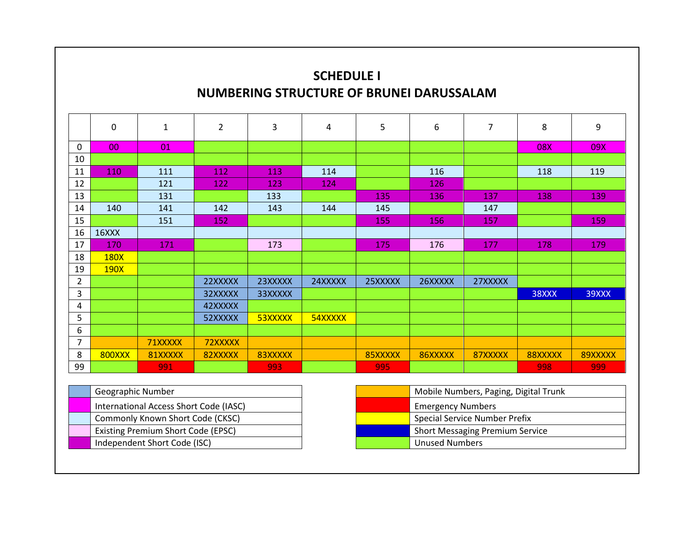### **SCHEDULE I NUMBERING STRUCTURE OF BRUNEI DARUSSALAM**

|                | $\mathbf 0$   | $\mathbf{1}$ | $\overline{2}$ | $\overline{3}$ | 4       | 5       | 6       | 7       | 8       | 9       |
|----------------|---------------|--------------|----------------|----------------|---------|---------|---------|---------|---------|---------|
| $\Omega$       | 00            | 01           |                |                |         |         |         |         | 08X     | 09X     |
| 10             |               |              |                |                |         |         |         |         |         |         |
| 11             | 110           | 111          | 112            | 113            | 114     |         | 116     |         | 118     | 119     |
| 12             |               | 121          | 122            | 123            | 124     |         | 126     |         |         |         |
| 13             |               | 131          |                | 133            |         | 135     | 136     | 137     | 138     | 139     |
| 14             | 140           | 141          | 142            | 143            | 144     | 145     |         | 147     |         |         |
| 15             |               | 151          | 152            |                |         | 155     | 156     | 157     |         | 159     |
| 16             | 16XXX         |              |                |                |         |         |         |         |         |         |
| 17             | 170           | 171          |                | 173            |         | 175     | 176     | 177     | 178     | 179     |
| 18             | <b>180X</b>   |              |                |                |         |         |         |         |         |         |
| 19             | 190X          |              |                |                |         |         |         |         |         |         |
| $\overline{2}$ |               |              | 22XXXXX        | 23XXXXX        | 24XXXXX | 25XXXXX | 26XXXXX | 27XXXXX |         |         |
| 3              |               |              | 32XXXXX        | 33XXXXX        |         |         |         |         | 38XXX   | 39XXX   |
| 4              |               |              | 42XXXXX        |                |         |         |         |         |         |         |
| 5              |               |              | 52XXXXX        | 53XXXXX        | 54XXXXX |         |         |         |         |         |
| 6              |               |              |                |                |         |         |         |         |         |         |
| $\overline{7}$ |               | 71XXXXX      | 72XXXXX        |                |         |         |         |         |         |         |
| 8              | <b>800XXX</b> | 81XXXXX      | 82XXXXX        | 83XXXXX        |         | 85XXXXX | 86XXXXX | 87XXXXX | 88XXXXX | 89XXXXX |
| 99             |               | 991          |                | 993            |         | 995     |         |         | 998     | 999     |

| Geographic Number                      |  | Mobile Numbers, Paging, Digital Trunk  |
|----------------------------------------|--|----------------------------------------|
| International Access Short Code (IASC) |  | <b>Emergency Numbers</b>               |
| Commonly Known Short Code (CKSC)       |  | <b>Special Service Number Prefix</b>   |
| Existing Premium Short Code (EPSC)     |  | <b>Short Messaging Premium Service</b> |
| Independent Short Code (ISC)           |  | <b>Unused Numbers</b>                  |

| Mobile Numbers, Paging, Digital Trunk  |  |
|----------------------------------------|--|
| <b>Emergency Numbers</b>               |  |
| Special Service Number Prefix          |  |
| <b>Short Messaging Premium Service</b> |  |
| <b>Unused Numbers</b>                  |  |
|                                        |  |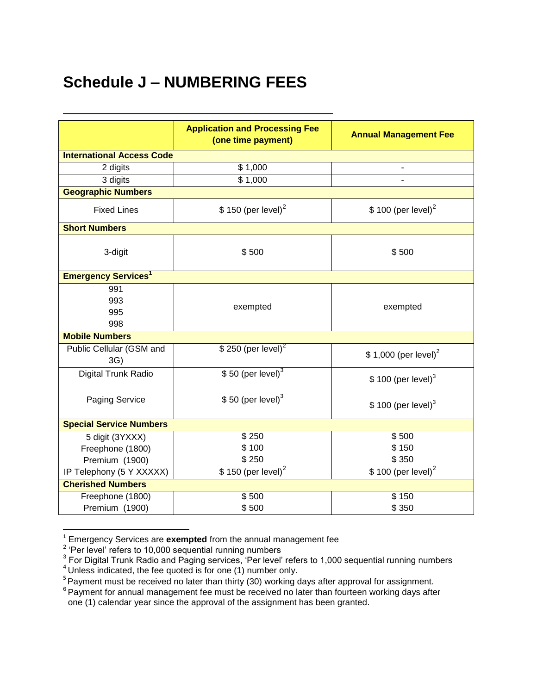### **Schedule J – NUMBERING FEES**

|                                       | <b>Application and Processing Fee</b><br>(one time payment) | <b>Annual Management Fee</b>      |  |  |  |
|---------------------------------------|-------------------------------------------------------------|-----------------------------------|--|--|--|
| <b>International Access Code</b>      |                                                             |                                   |  |  |  |
| 2 digits                              | \$1,000                                                     |                                   |  |  |  |
| 3 digits                              | \$1,000                                                     |                                   |  |  |  |
| <b>Geographic Numbers</b>             |                                                             |                                   |  |  |  |
| <b>Fixed Lines</b>                    | $$150$ (per level) <sup>2</sup>                             | $$100$ (per level) <sup>2</sup>   |  |  |  |
| <b>Short Numbers</b>                  |                                                             |                                   |  |  |  |
| 3-digit                               | \$500                                                       | \$500                             |  |  |  |
| <b>Emergency Services<sup>1</sup></b> |                                                             |                                   |  |  |  |
| 991<br>993<br>995<br>998              | exempted                                                    | exempted                          |  |  |  |
| <b>Mobile Numbers</b>                 |                                                             |                                   |  |  |  |
| Public Cellular (GSM and<br>3G)       | $$250$ (per level) <sup>2</sup>                             | $$1,000$ (per level) <sup>2</sup> |  |  |  |
| Digital Trunk Radio                   | $$50$ (per level) <sup>3</sup>                              | $$100$ (per level) <sup>3</sup>   |  |  |  |
| <b>Paging Service</b>                 | $$50$ (per level) <sup>3</sup>                              | $$100$ (per level) <sup>3</sup>   |  |  |  |
| <b>Special Service Numbers</b>        |                                                             |                                   |  |  |  |
| 5 digit (3YXXX)                       | \$250                                                       | \$500                             |  |  |  |
| Freephone (1800)                      | \$100                                                       | \$150                             |  |  |  |
| Premium (1900)                        | \$250                                                       | \$350                             |  |  |  |
| IP Telephony (5 Y XXXXX)              | $$150$ (per level) <sup>2</sup>                             | \$100 (per level) <sup>2</sup>    |  |  |  |
| <b>Cherished Numbers</b>              |                                                             |                                   |  |  |  |
| Freephone (1800)                      | \$500                                                       | \$150                             |  |  |  |
| Premium (1900)                        | \$500                                                       | \$350                             |  |  |  |

<sup>&</sup>lt;sup>1</sup> Emergency Services are **exempted** from the annual management fee<br><sup>2</sup> 'Per level' refers to 10,000 sequential running numbers<br><sup>3</sup> For Digital Trunk Radio and Paging services, 'Per level' refers to 1,000 sequential runni

 $4$  Unless indicated, the fee quoted is for one (1) number only.

<sup>&</sup>lt;sup>5</sup> Payment must be received no later than thirty (30) working days after approval for assignment.

<sup>&</sup>lt;sup>6</sup> Payment for annual management fee must be received no later than fourteen working days after one (1) calendar year since the approval of the assignment has been granted.